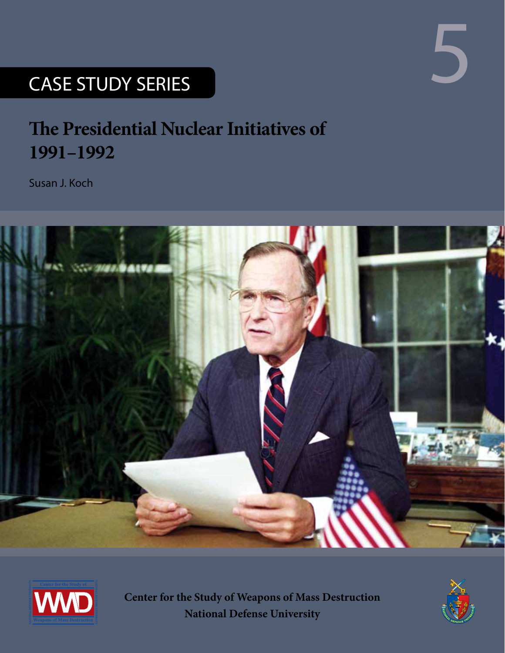# 5

# CASE STUDY SERIES

## **The Presidential Nuclear Initiatives of 1991–1992**

Susan J. Koch





**Center for the Study of Weapons of Mass Destruction National Defense University**

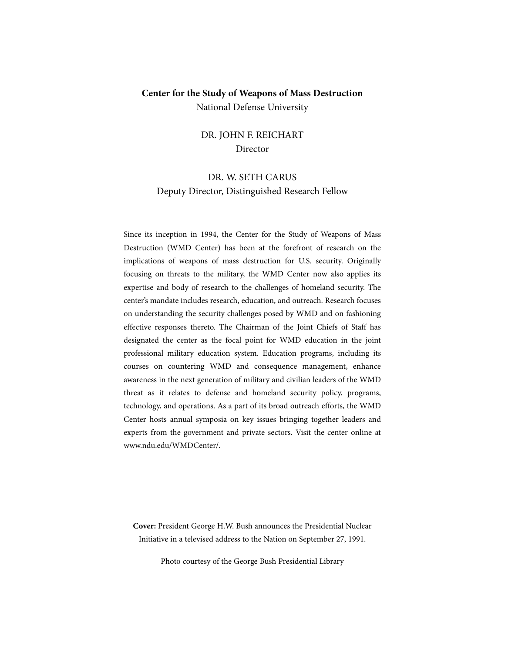#### **Center for the Study of Weapons of Mass Destruction** National Defense University

DR. JOHN F. REICHART Director

#### DR. W. SETH CARUS Deputy Director, Distinguished Research Fellow

Since its inception in 1994, the Center for the Study of Weapons of Mass Destruction (WMD Center) has been at the forefront of research on the implications of weapons of mass destruction for U.S. security. Originally focusing on threats to the military, the WMD Center now also applies its expertise and body of research to the challenges of homeland security. The center's mandate includes research, education, and outreach. Research focuses on understanding the security challenges posed by WMD and on fashioning effective responses thereto. The Chairman of the Joint Chiefs of Staff has designated the center as the focal point for WMD education in the joint professional military education system. Education programs, including its courses on countering WMD and consequence management, enhance awareness in the next generation of military and civilian leaders of the WMD threat as it relates to defense and homeland security policy, programs, technology, and operations. As a part of its broad outreach efforts, the WMD Center hosts annual symposia on key issues bringing together leaders and experts from the government and private sectors. Visit the center online at www.ndu.edu/WMDCenter/.

**Cover:** President George H.W. Bush announces the Presidential Nuclear Initiative in a televised address to the Nation on September 27, 1991.

Photo courtesy of the George Bush Presidential Library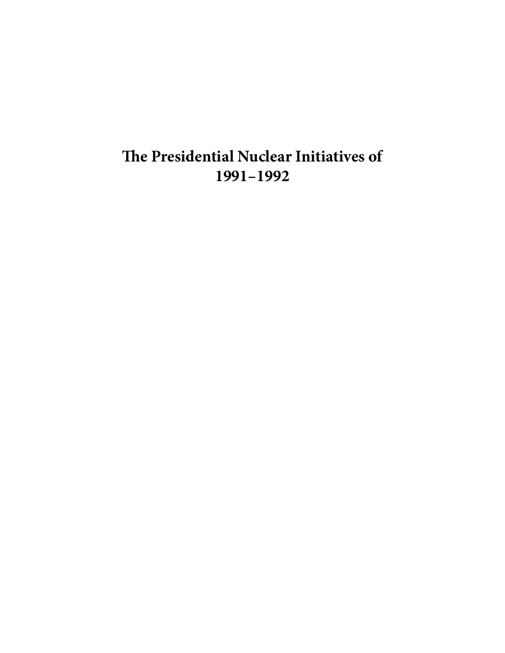## **The Presidential Nuclear Initiatives of 1991–1992**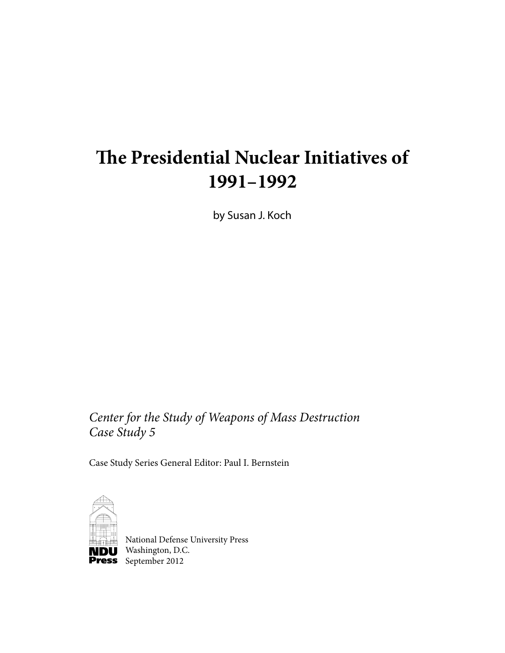## **The Presidential Nuclear Initiatives of 1991–1992**

by Susan J. Koch

*Center for the Study of Weapons of Mass Destruction Case Study 5*

Case Study Series General Editor: Paul I. Bernstein



National Defense University Press **NDU** Washington, D.C. **Press** September 2012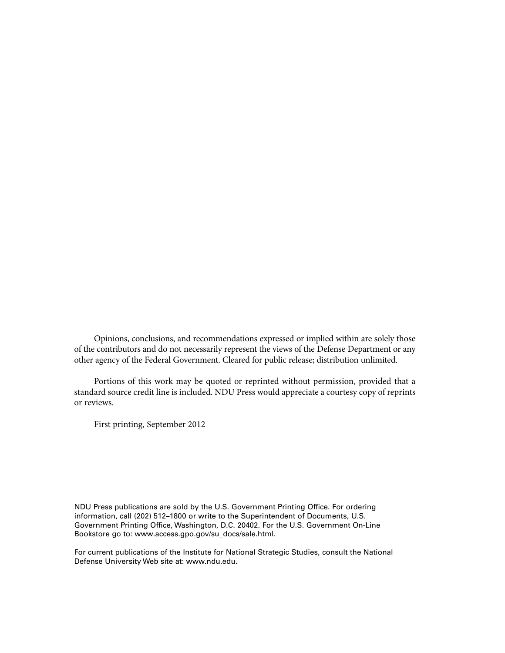Opinions, conclusions, and recommendations expressed or implied within are solely those of the contributors and do not necessarily represent the views of the Defense Department or any other agency of the Federal Government. Cleared for public release; distribution unlimited.

Portions of this work may be quoted or reprinted without permission, provided that a standard source credit line is included. NDU Press would appreciate a courtesy copy of reprints or reviews.

First printing, September 2012

NDU Press publications are sold by the U.S. Government Printing Office. For ordering information, call (202) 512–1800 or write to the Superintendent of Documents, U.S. Government Printing Office, Washington, D.C. 20402. For the U.S. Government On-Line Bookstore go to: www.access.gpo.gov/su\_docs/sale.html.

For current publications of the Institute for National Strategic Studies, consult the National Defense University Web site at: www.ndu.edu.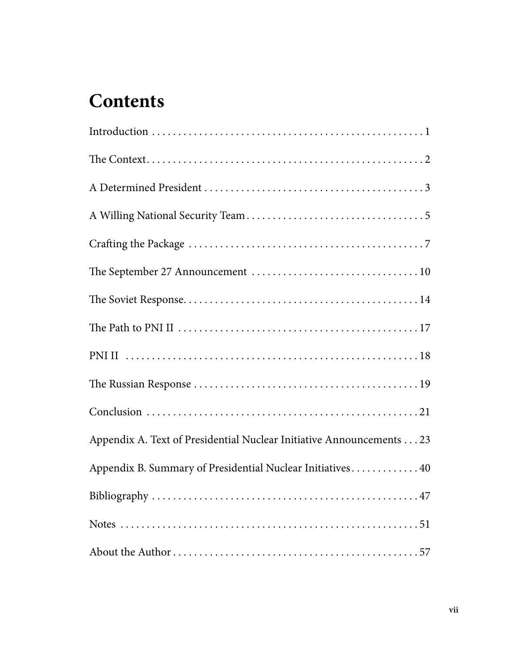## **Contents**

| Appendix A. Text of Presidential Nuclear Initiative Announcements 23 |
|----------------------------------------------------------------------|
| Appendix B. Summary of Presidential Nuclear Initiatives 40           |
|                                                                      |
|                                                                      |
|                                                                      |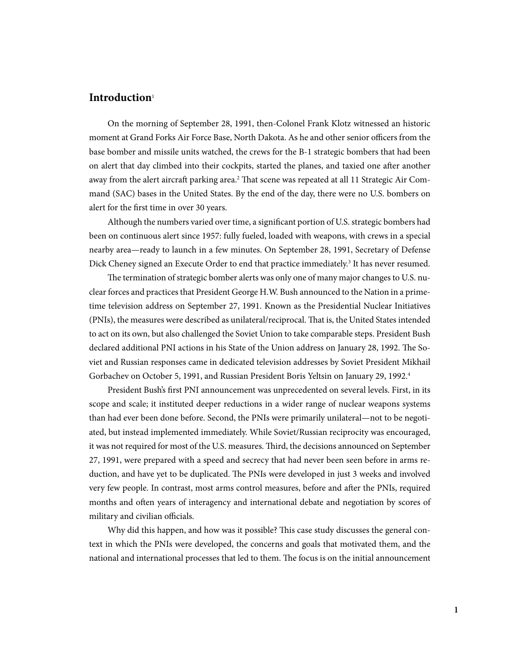#### **Introduction**<sup>1</sup>

On the morning of September 28, 1991, then-Colonel Frank Klotz witnessed an historic moment at Grand Forks Air Force Base, North Dakota. As he and other senior officers from the base bomber and missile units watched, the crews for the B-1 strategic bombers that had been on alert that day climbed into their cockpits, started the planes, and taxied one after another away from the alert aircraft parking area.<sup>2</sup> That scene was repeated at all 11 Strategic Air Command (SAC) bases in the United States. By the end of the day, there were no U.S. bombers on alert for the first time in over 30 years.

Although the numbers varied over time, a significant portion of U.S. strategic bombers had been on continuous alert since 1957: fully fueled, loaded with weapons, with crews in a special nearby area—ready to launch in a few minutes. On September 28, 1991, Secretary of Defense Dick Cheney signed an Execute Order to end that practice immediately.<sup>3</sup> It has never resumed.

The termination of strategic bomber alerts was only one of many major changes to U.S. nuclear forces and practices that President George H.W. Bush announced to the Nation in a primetime television address on September 27, 1991. Known as the Presidential Nuclear Initiatives (PNIs), the measures were described as unilateral/reciprocal. That is, the United States intended to act on its own, but also challenged the Soviet Union to take comparable steps. President Bush declared additional PNI actions in his State of the Union address on January 28, 1992. The Soviet and Russian responses came in dedicated television addresses by Soviet President Mikhail Gorbachev on October 5, 1991, and Russian President Boris Yeltsin on January 29, 1992.<sup>4</sup>

President Bush's first PNI announcement was unprecedented on several levels. First, in its scope and scale; it instituted deeper reductions in a wider range of nuclear weapons systems than had ever been done before. Second, the PNIs were primarily unilateral—not to be negotiated, but instead implemented immediately. While Soviet/Russian reciprocity was encouraged, it was not required for most of the U.S. measures. Third, the decisions announced on September 27, 1991, were prepared with a speed and secrecy that had never been seen before in arms reduction, and have yet to be duplicated. The PNIs were developed in just 3 weeks and involved very few people. In contrast, most arms control measures, before and after the PNIs, required months and often years of interagency and international debate and negotiation by scores of military and civilian officials.

Why did this happen, and how was it possible? This case study discusses the general context in which the PNIs were developed, the concerns and goals that motivated them, and the national and international processes that led to them. The focus is on the initial announcement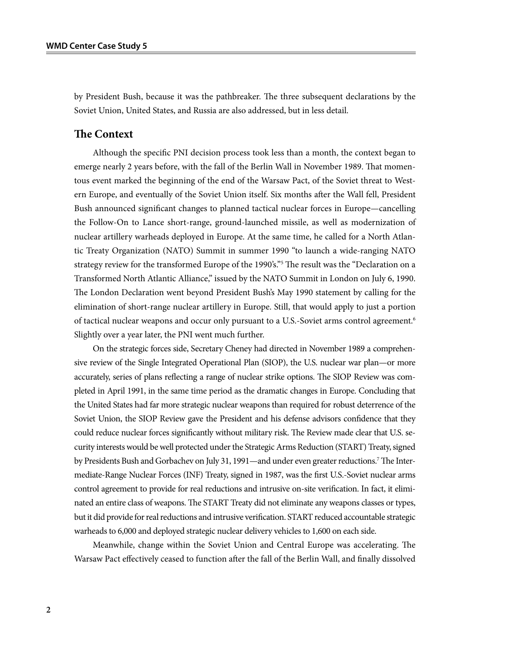by President Bush, because it was the pathbreaker. The three subsequent declarations by the Soviet Union, United States, and Russia are also addressed, but in less detail.

#### **The Context**

Although the specific PNI decision process took less than a month, the context began to emerge nearly 2 years before, with the fall of the Berlin Wall in November 1989. That momentous event marked the beginning of the end of the Warsaw Pact, of the Soviet threat to Western Europe, and eventually of the Soviet Union itself. Six months after the Wall fell, President Bush announced significant changes to planned tactical nuclear forces in Europe—cancelling the Follow-On to Lance short-range, ground-launched missile, as well as modernization of nuclear artillery warheads deployed in Europe. At the same time, he called for a North Atlantic Treaty Organization (NATO) Summit in summer 1990 "to launch a wide-ranging NATO strategy review for the transformed Europe of the 1990's."5 The result was the "Declaration on a Transformed North Atlantic Alliance," issued by the NATO Summit in London on July 6, 1990. The London Declaration went beyond President Bush's May 1990 statement by calling for the elimination of short-range nuclear artillery in Europe. Still, that would apply to just a portion of tactical nuclear weapons and occur only pursuant to a U.S.-Soviet arms control agreement.6 Slightly over a year later, the PNI went much further.

On the strategic forces side, Secretary Cheney had directed in November 1989 a comprehensive review of the Single Integrated Operational Plan (SIOP), the U.S. nuclear war plan—or more accurately, series of plans reflecting a range of nuclear strike options. The SIOP Review was completed in April 1991, in the same time period as the dramatic changes in Europe. Concluding that the United States had far more strategic nuclear weapons than required for robust deterrence of the Soviet Union, the SIOP Review gave the President and his defense advisors confidence that they could reduce nuclear forces significantly without military risk. The Review made clear that U.S. security interests would be well protected under the Strategic Arms Reduction (START) Treaty, signed by Presidents Bush and Gorbachev on July 31, 1991—and under even greater reductions.<sup>7</sup> The Intermediate-Range Nuclear Forces (INF) Treaty, signed in 1987, was the first U.S.-Soviet nuclear arms control agreement to provide for real reductions and intrusive on-site verification. In fact, it eliminated an entire class of weapons. The START Treaty did not eliminate any weapons classes or types, but it did provide for real reductions and intrusive verification. START reduced accountable strategic warheads to 6,000 and deployed strategic nuclear delivery vehicles to 1,600 on each side.

Meanwhile, change within the Soviet Union and Central Europe was accelerating. The Warsaw Pact effectively ceased to function after the fall of the Berlin Wall, and finally dissolved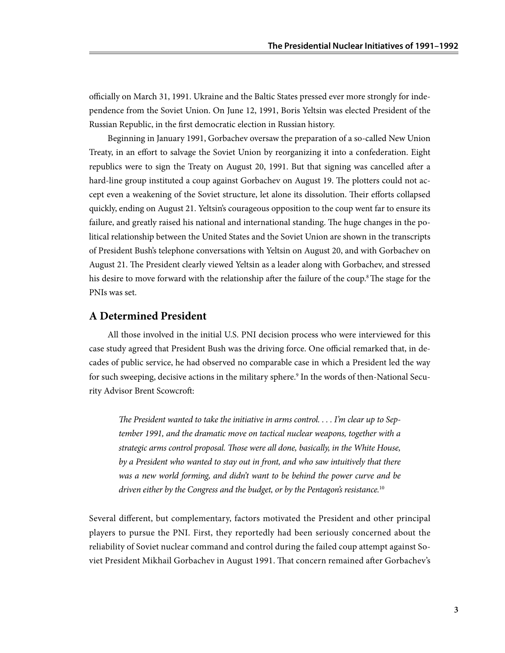officially on March 31, 1991. Ukraine and the Baltic States pressed ever more strongly for independence from the Soviet Union. On June 12, 1991, Boris Yeltsin was elected President of the Russian Republic, in the first democratic election in Russian history.

Beginning in January 1991, Gorbachev oversaw the preparation of a so-called New Union Treaty, in an effort to salvage the Soviet Union by reorganizing it into a confederation. Eight republics were to sign the Treaty on August 20, 1991. But that signing was cancelled after a hard-line group instituted a coup against Gorbachev on August 19. The plotters could not accept even a weakening of the Soviet structure, let alone its dissolution. Their efforts collapsed quickly, ending on August 21. Yeltsin's courageous opposition to the coup went far to ensure its failure, and greatly raised his national and international standing. The huge changes in the political relationship between the United States and the Soviet Union are shown in the transcripts of President Bush's telephone conversations with Yeltsin on August 20, and with Gorbachev on August 21. The President clearly viewed Yeltsin as a leader along with Gorbachev, and stressed his desire to move forward with the relationship after the failure of the coup.<sup>8</sup> The stage for the PNIs was set.

#### **A Determined President**

All those involved in the initial U.S. PNI decision process who were interviewed for this case study agreed that President Bush was the driving force. One official remarked that, in decades of public service, he had observed no comparable case in which a President led the way for such sweeping, decisive actions in the military sphere.<sup>9</sup> In the words of then-National Security Advisor Brent Scowcroft:

*The President wanted to take the initiative in arms control. . . . I'm clear up to September 1991, and the dramatic move on tactical nuclear weapons, together with a strategic arms control proposal. Those were all done, basically, in the White House, by a President who wanted to stay out in front, and who saw intuitively that there was a new world forming, and didn't want to be behind the power curve and be driven either by the Congress and the budget, or by the Pentagon's resistance.*<sup>10</sup>

Several different, but complementary, factors motivated the President and other principal players to pursue the PNI. First, they reportedly had been seriously concerned about the reliability of Soviet nuclear command and control during the failed coup attempt against Soviet President Mikhail Gorbachev in August 1991. That concern remained after Gorbachev's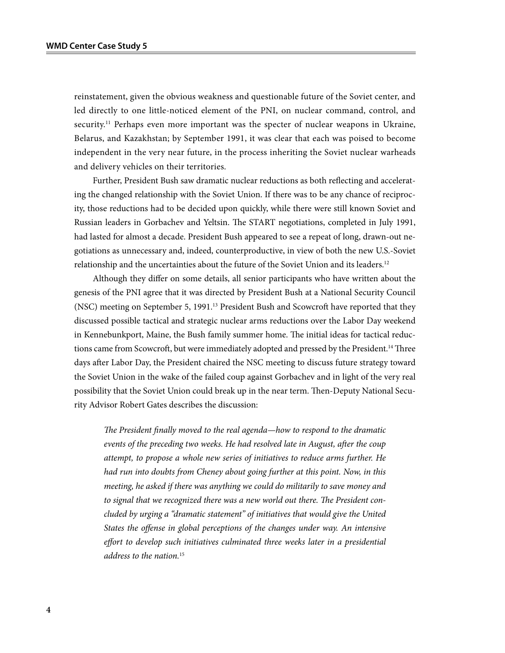reinstatement, given the obvious weakness and questionable future of the Soviet center, and led directly to one little-noticed element of the PNI, on nuclear command, control, and security.<sup>11</sup> Perhaps even more important was the specter of nuclear weapons in Ukraine, Belarus, and Kazakhstan; by September 1991, it was clear that each was poised to become independent in the very near future, in the process inheriting the Soviet nuclear warheads and delivery vehicles on their territories.

Further, President Bush saw dramatic nuclear reductions as both reflecting and accelerating the changed relationship with the Soviet Union. If there was to be any chance of reciprocity, those reductions had to be decided upon quickly, while there were still known Soviet and Russian leaders in Gorbachev and Yeltsin. The START negotiations, completed in July 1991, had lasted for almost a decade. President Bush appeared to see a repeat of long, drawn-out negotiations as unnecessary and, indeed, counterproductive, in view of both the new U.S.-Soviet relationship and the uncertainties about the future of the Soviet Union and its leaders.12

Although they differ on some details, all senior participants who have written about the genesis of the PNI agree that it was directed by President Bush at a National Security Council (NSC) meeting on September 5, 1991.13 President Bush and Scowcroft have reported that they discussed possible tactical and strategic nuclear arms reductions over the Labor Day weekend in Kennebunkport, Maine, the Bush family summer home. The initial ideas for tactical reductions came from Scowcroft, but were immediately adopted and pressed by the President.<sup>14</sup> Three days after Labor Day, the President chaired the NSC meeting to discuss future strategy toward the Soviet Union in the wake of the failed coup against Gorbachev and in light of the very real possibility that the Soviet Union could break up in the near term. Then-Deputy National Security Advisor Robert Gates describes the discussion:

*The President finally moved to the real agenda—how to respond to the dramatic events of the preceding two weeks. He had resolved late in August, after the coup attempt, to propose a whole new series of initiatives to reduce arms further. He had run into doubts from Cheney about going further at this point. Now, in this meeting, he asked if there was anything we could do militarily to save money and to signal that we recognized there was a new world out there. The President concluded by urging a "dramatic statement" of initiatives that would give the United States the offense in global perceptions of the changes under way. An intensive*  effort to develop such initiatives culminated three weeks later in a presidential *address to the nation.*15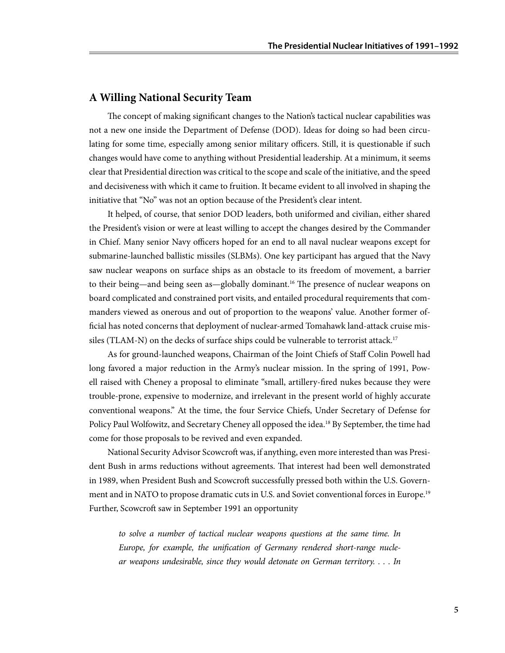#### **A Willing National Security Team**

The concept of making significant changes to the Nation's tactical nuclear capabilities was not a new one inside the Department of Defense (DOD). Ideas for doing so had been circulating for some time, especially among senior military officers. Still, it is questionable if such changes would have come to anything without Presidential leadership. At a minimum, it seems clear that Presidential direction was critical to the scope and scale of the initiative, and the speed and decisiveness with which it came to fruition. It became evident to all involved in shaping the initiative that "No" was not an option because of the President's clear intent.

It helped, of course, that senior DOD leaders, both uniformed and civilian, either shared the President's vision or were at least willing to accept the changes desired by the Commander in Chief. Many senior Navy officers hoped for an end to all naval nuclear weapons except for submarine-launched ballistic missiles (SLBMs). One key participant has argued that the Navy saw nuclear weapons on surface ships as an obstacle to its freedom of movement, a barrier to their being—and being seen as—globally dominant.<sup>16</sup> The presence of nuclear weapons on board complicated and constrained port visits, and entailed procedural requirements that commanders viewed as onerous and out of proportion to the weapons' value. Another former official has noted concerns that deployment of nuclear-armed Tomahawk land-attack cruise missiles (TLAM-N) on the decks of surface ships could be vulnerable to terrorist attack.<sup>17</sup>

As for ground-launched weapons, Chairman of the Joint Chiefs of Staff Colin Powell had long favored a major reduction in the Army's nuclear mission. In the spring of 1991, Powell raised with Cheney a proposal to eliminate "small, artillery-fired nukes because they were trouble-prone, expensive to modernize, and irrelevant in the present world of highly accurate conventional weapons." At the time, the four Service Chiefs, Under Secretary of Defense for Policy Paul Wolfowitz, and Secretary Cheney all opposed the idea.<sup>18</sup> By September, the time had come for those proposals to be revived and even expanded.

National Security Advisor Scowcroft was, if anything, even more interested than was President Bush in arms reductions without agreements. That interest had been well demonstrated in 1989, when President Bush and Scowcroft successfully pressed both within the U.S. Government and in NATO to propose dramatic cuts in U.S. and Soviet conventional forces in Europe.<sup>19</sup> Further, Scowcroft saw in September 1991 an opportunity

*to solve a number of tactical nuclear weapons questions at the same time. In Europe, for example, the unification of Germany rendered short-range nuclear weapons undesirable, since they would detonate on German territory. . . . In*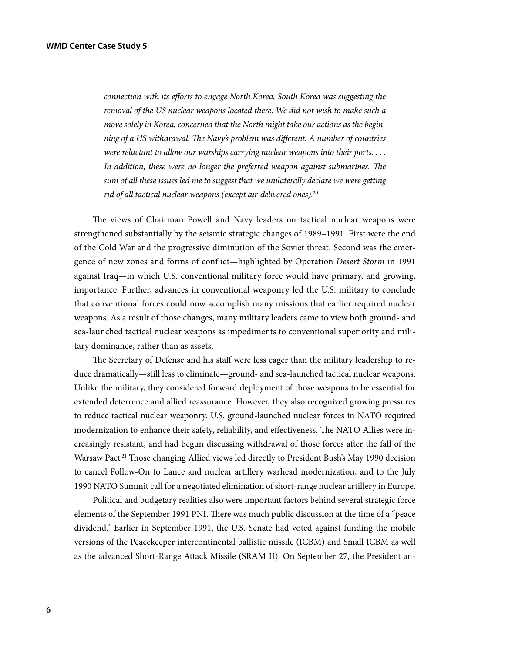*connection with its efforts to engage North Korea, South Korea was suggesting the removal of the US nuclear weapons located there. We did not wish to make such a move solely in Korea, concerned that the North might take our actions as the beginning of a US withdrawal. The Navy's problem was different. A number of countries were reluctant to allow our warships carrying nuclear weapons into their ports. . . .*  In addition, these were no longer the preferred weapon against submarines. The *sum of all these issues led me to suggest that we unilaterally declare we were getting rid of all tactical nuclear weapons (except air-delivered ones).*<sup>20</sup>

The views of Chairman Powell and Navy leaders on tactical nuclear weapons were strengthened substantially by the seismic strategic changes of 1989–1991. First were the end of the Cold War and the progressive diminution of the Soviet threat. Second was the emergence of new zones and forms of conflict—highlighted by Operation *Desert Storm* in 1991 against Iraq—in which U.S. conventional military force would have primary, and growing, importance. Further, advances in conventional weaponry led the U.S. military to conclude that conventional forces could now accomplish many missions that earlier required nuclear weapons. As a result of those changes, many military leaders came to view both ground- and sea-launched tactical nuclear weapons as impediments to conventional superiority and military dominance, rather than as assets.

The Secretary of Defense and his staff were less eager than the military leadership to reduce dramatically—still less to eliminate—ground- and sea-launched tactical nuclear weapons. Unlike the military, they considered forward deployment of those weapons to be essential for extended deterrence and allied reassurance. However, they also recognized growing pressures to reduce tactical nuclear weaponry. U.S. ground-launched nuclear forces in NATO required modernization to enhance their safety, reliability, and effectiveness. The NATO Allies were increasingly resistant, and had begun discussing withdrawal of those forces after the fall of the Warsaw Pact<sup>21</sup> Those changing Allied views led directly to President Bush's May 1990 decision to cancel Follow-On to Lance and nuclear artillery warhead modernization, and to the July 1990 NATO Summit call for a negotiated elimination of short-range nuclear artillery in Europe.

Political and budgetary realities also were important factors behind several strategic force elements of the September 1991 PNI. There was much public discussion at the time of a "peace dividend." Earlier in September 1991, the U.S. Senate had voted against funding the mobile versions of the Peacekeeper intercontinental ballistic missile (ICBM) and Small ICBM as well as the advanced Short-Range Attack Missile (SRAM II). On September 27, the President an-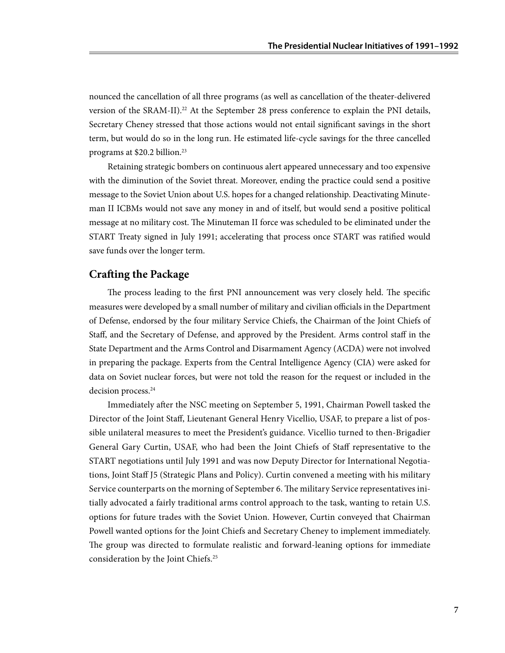nounced the cancellation of all three programs (as well as cancellation of the theater-delivered version of the SRAM-II).<sup>22</sup> At the September 28 press conference to explain the PNI details, Secretary Cheney stressed that those actions would not entail significant savings in the short term, but would do so in the long run. He estimated life-cycle savings for the three cancelled programs at \$20.2 billion.<sup>23</sup>

Retaining strategic bombers on continuous alert appeared unnecessary and too expensive with the diminution of the Soviet threat. Moreover, ending the practice could send a positive message to the Soviet Union about U.S. hopes for a changed relationship. Deactivating Minuteman II ICBMs would not save any money in and of itself, but would send a positive political message at no military cost. The Minuteman II force was scheduled to be eliminated under the START Treaty signed in July 1991; accelerating that process once START was ratified would save funds over the longer term.

#### **Crafting the Package**

The process leading to the first PNI announcement was very closely held. The specific measures were developed by a small number of military and civilian officials in the Department of Defense, endorsed by the four military Service Chiefs, the Chairman of the Joint Chiefs of Staff, and the Secretary of Defense, and approved by the President. Arms control staff in the State Department and the Arms Control and Disarmament Agency (ACDA) were not involved in preparing the package. Experts from the Central Intelligence Agency (CIA) were asked for data on Soviet nuclear forces, but were not told the reason for the request or included in the decision process.<sup>24</sup>

Immediately after the NSC meeting on September 5, 1991, Chairman Powell tasked the Director of the Joint Staff, Lieutenant General Henry Vicellio, USAF, to prepare a list of possible unilateral measures to meet the President's guidance. Vicellio turned to then-Brigadier General Gary Curtin, USAF, who had been the Joint Chiefs of Staff representative to the START negotiations until July 1991 and was now Deputy Director for International Negotiations, Joint Staff J5 (Strategic Plans and Policy). Curtin convened a meeting with his military Service counterparts on the morning of September 6. The military Service representatives initially advocated a fairly traditional arms control approach to the task, wanting to retain U.S. options for future trades with the Soviet Union. However, Curtin conveyed that Chairman Powell wanted options for the Joint Chiefs and Secretary Cheney to implement immediately. The group was directed to formulate realistic and forward-leaning options for immediate consideration by the Joint Chiefs.25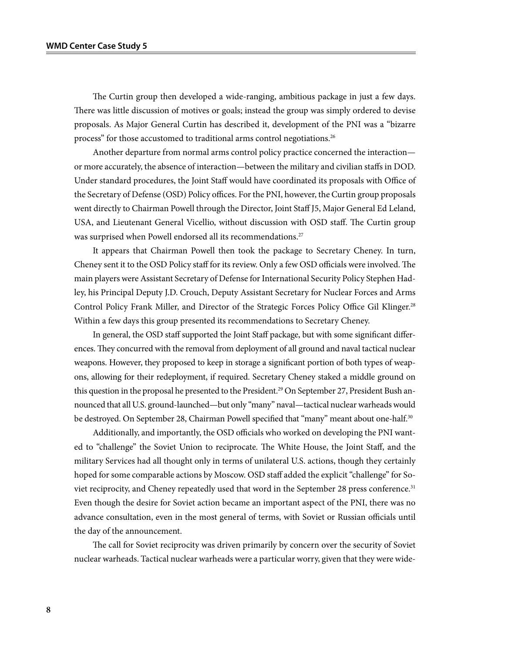The Curtin group then developed a wide-ranging, ambitious package in just a few days. There was little discussion of motives or goals; instead the group was simply ordered to devise proposals. As Major General Curtin has described it, development of the PNI was a "bizarre process" for those accustomed to traditional arms control negotiations.26

Another departure from normal arms control policy practice concerned the interaction or more accurately, the absence of interaction—between the military and civilian staffs in DOD. Under standard procedures, the Joint Staff would have coordinated its proposals with Office of the Secretary of Defense (OSD) Policy offices. For the PNI, however, the Curtin group proposals went directly to Chairman Powell through the Director, Joint Staff J5, Major General Ed Leland, USA, and Lieutenant General Vicellio, without discussion with OSD staff. The Curtin group was surprised when Powell endorsed all its recommendations.<sup>27</sup>

It appears that Chairman Powell then took the package to Secretary Cheney. In turn, Cheney sent it to the OSD Policy staff for its review. Only a few OSD officials were involved. The main players were Assistant Secretary of Defense for International Security Policy Stephen Hadley, his Principal Deputy J.D. Crouch, Deputy Assistant Secretary for Nuclear Forces and Arms Control Policy Frank Miller, and Director of the Strategic Forces Policy Office Gil Klinger.<sup>28</sup> Within a few days this group presented its recommendations to Secretary Cheney.

In general, the OSD staff supported the Joint Staff package, but with some significant differences. They concurred with the removal from deployment of all ground and naval tactical nuclear weapons. However, they proposed to keep in storage a significant portion of both types of weapons, allowing for their redeployment, if required. Secretary Cheney staked a middle ground on this question in the proposal he presented to the President.29 On September 27, President Bush announced that all U.S. ground-launched—but only "many" naval—tactical nuclear warheads would be destroyed. On September 28, Chairman Powell specified that "many" meant about one-half.<sup>30</sup>

Additionally, and importantly, the OSD officials who worked on developing the PNI wanted to "challenge" the Soviet Union to reciprocate. The White House, the Joint Staff, and the military Services had all thought only in terms of unilateral U.S. actions, though they certainly hoped for some comparable actions by Moscow. OSD staff added the explicit "challenge" for Soviet reciprocity, and Cheney repeatedly used that word in the September 28 press conference.<sup>31</sup> Even though the desire for Soviet action became an important aspect of the PNI, there was no advance consultation, even in the most general of terms, with Soviet or Russian officials until the day of the announcement.

The call for Soviet reciprocity was driven primarily by concern over the security of Soviet nuclear warheads. Tactical nuclear warheads were a particular worry, given that they were wide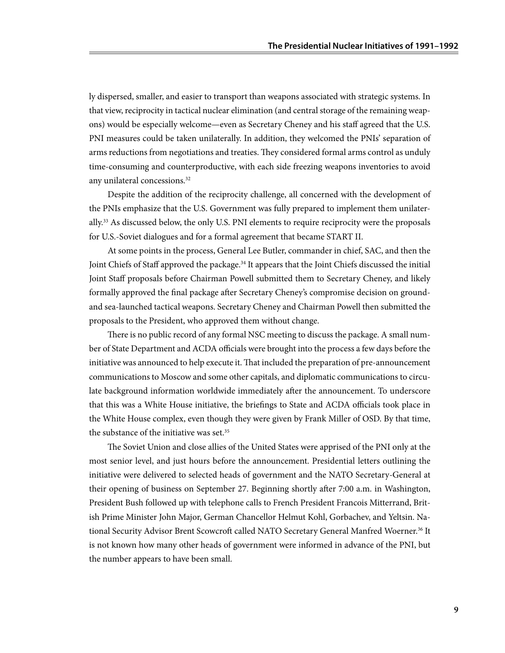ly dispersed, smaller, and easier to transport than weapons associated with strategic systems. In that view, reciprocity in tactical nuclear elimination (and central storage of the remaining weapons) would be especially welcome—even as Secretary Cheney and his staff agreed that the U.S. PNI measures could be taken unilaterally. In addition, they welcomed the PNIs' separation of arms reductions from negotiations and treaties. They considered formal arms control as unduly time-consuming and counterproductive, with each side freezing weapons inventories to avoid any unilateral concessions.32

Despite the addition of the reciprocity challenge, all concerned with the development of the PNIs emphasize that the U.S. Government was fully prepared to implement them unilaterally.33 As discussed below, the only U.S. PNI elements to require reciprocity were the proposals for U.S.-Soviet dialogues and for a formal agreement that became START II.

At some points in the process, General Lee Butler, commander in chief, SAC, and then the Joint Chiefs of Staff approved the package.<sup>34</sup> It appears that the Joint Chiefs discussed the initial Joint Staff proposals before Chairman Powell submitted them to Secretary Cheney, and likely formally approved the final package after Secretary Cheney's compromise decision on groundand sea-launched tactical weapons. Secretary Cheney and Chairman Powell then submitted the proposals to the President, who approved them without change.

There is no public record of any formal NSC meeting to discuss the package. A small number of State Department and ACDA officials were brought into the process a few days before the initiative was announced to help execute it. That included the preparation of pre-announcement communications to Moscow and some other capitals, and diplomatic communications to circulate background information worldwide immediately after the announcement. To underscore that this was a White House initiative, the briefings to State and ACDA officials took place in the White House complex, even though they were given by Frank Miller of OSD. By that time, the substance of the initiative was set.<sup>35</sup>

The Soviet Union and close allies of the United States were apprised of the PNI only at the most senior level, and just hours before the announcement. Presidential letters outlining the initiative were delivered to selected heads of government and the NATO Secretary-General at their opening of business on September 27. Beginning shortly after 7:00 a.m. in Washington, President Bush followed up with telephone calls to French President Francois Mitterrand, British Prime Minister John Major, German Chancellor Helmut Kohl, Gorbachev, and Yeltsin. National Security Advisor Brent Scowcroft called NATO Secretary General Manfred Woerner.<sup>36</sup> It is not known how many other heads of government were informed in advance of the PNI, but the number appears to have been small.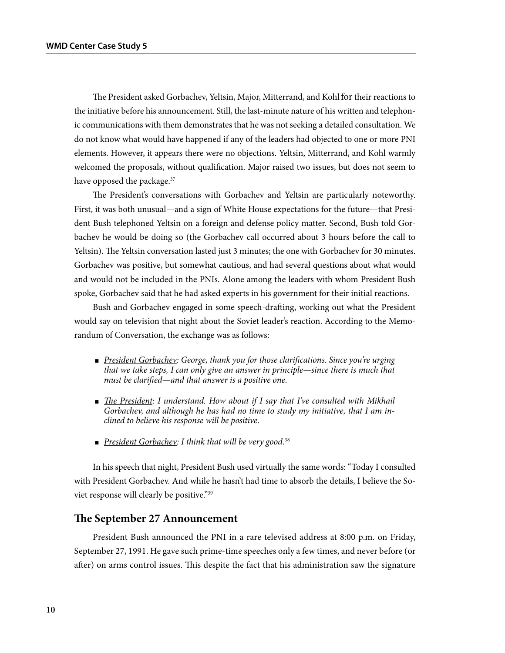The President asked Gorbachev, Yeltsin, Major, Mitterrand, and Kohlfor their reactions to the initiative before his announcement. Still, the last-minute nature of his written and telephonic communications with them demonstrates that he was not seeking a detailed consultation. We do not know what would have happened if any of the leaders had objected to one or more PNI elements. However, it appears there were no objections. Yeltsin, Mitterrand, and Kohl warmly welcomed the proposals, without qualification. Major raised two issues, but does not seem to have opposed the package.<sup>37</sup>

The President's conversations with Gorbachev and Yeltsin are particularly noteworthy. First, it was both unusual—and a sign of White House expectations for the future—that President Bush telephoned Yeltsin on a foreign and defense policy matter. Second, Bush told Gorbachev he would be doing so (the Gorbachev call occurred about 3 hours before the call to Yeltsin). The Yeltsin conversation lasted just 3 minutes; the one with Gorbachev for 30 minutes. Gorbachev was positive, but somewhat cautious, and had several questions about what would and would not be included in the PNIs. Alone among the leaders with whom President Bush spoke, Gorbachev said that he had asked experts in his government for their initial reactions.

Bush and Gorbachev engaged in some speech-drafting, working out what the President would say on television that night about the Soviet leader's reaction. According to the Memorandum of Conversation, the exchange was as follows:

- *President Gorbachev: George, thank you for those clarifications. Since you're urging that we take steps, I can only give an answer in principle—since there is much that must be clarified—and that answer is a positive one.*
- *The President: I understand. How about if I say that I've consulted with Mikhail Gorbachev, and although he has had no time to study my initiative, that I am inclined to believe his response will be positive.*
- *<u>President Gorbachev</u>: I think that will be very good.<sup>38</sup>*

In his speech that night, President Bush used virtually the same words: "Today I consulted with President Gorbachev. And while he hasn't had time to absorb the details, I believe the Soviet response will clearly be positive."39

#### **The September 27 Announcement**

President Bush announced the PNI in a rare televised address at 8:00 p.m. on Friday, September 27, 1991. He gave such prime-time speeches only a few times, and never before (or after) on arms control issues. This despite the fact that his administration saw the signature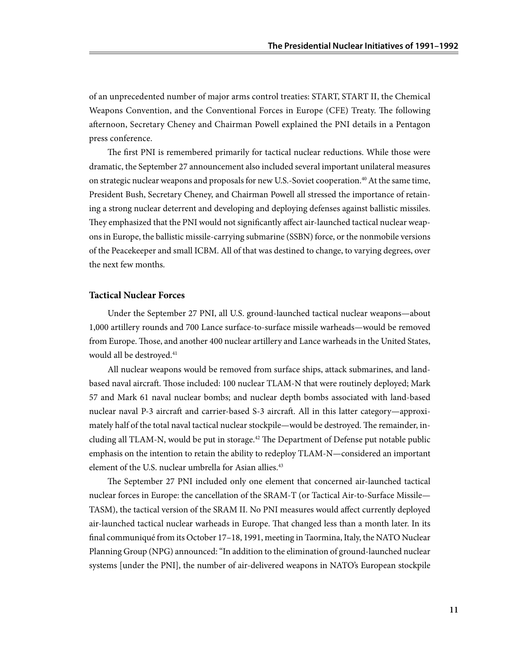of an unprecedented number of major arms control treaties: START, START II, the Chemical Weapons Convention, and the Conventional Forces in Europe (CFE) Treaty. The following afternoon, Secretary Cheney and Chairman Powell explained the PNI details in a Pentagon press conference.

The first PNI is remembered primarily for tactical nuclear reductions. While those were dramatic, the September 27 announcement also included several important unilateral measures on strategic nuclear weapons and proposals for new U.S.-Soviet cooperation.40 At the same time, President Bush, Secretary Cheney, and Chairman Powell all stressed the importance of retaining a strong nuclear deterrent and developing and deploying defenses against ballistic missiles. They emphasized that the PNI would not significantly affect air-launched tactical nuclear weapons in Europe, the ballistic missile-carrying submarine (SSBN) force, or the nonmobile versions of the Peacekeeper and small ICBM. All of that was destined to change, to varying degrees, over the next few months.

#### **Tactical Nuclear Forces**

Under the September 27 PNI, all U.S. ground-launched tactical nuclear weapons—about 1,000 artillery rounds and 700 Lance surface-to-surface missile warheads—would be removed from Europe. Those, and another 400 nuclear artillery and Lance warheads in the United States, would all be destroyed.<sup>41</sup>

All nuclear weapons would be removed from surface ships, attack submarines, and landbased naval aircraft. Those included: 100 nuclear TLAM-N that were routinely deployed; Mark 57 and Mark 61 naval nuclear bombs; and nuclear depth bombs associated with land-based nuclear naval P-3 aircraft and carrier-based S-3 aircraft. All in this latter category—approximately half of the total naval tactical nuclear stockpile—would be destroyed. The remainder, including all TLAM-N, would be put in storage.<sup>42</sup> The Department of Defense put notable public emphasis on the intention to retain the ability to redeploy TLAM-N—considered an important element of the U.S. nuclear umbrella for Asian allies.<sup>43</sup>

The September 27 PNI included only one element that concerned air-launched tactical nuclear forces in Europe: the cancellation of the SRAM-T (or Tactical Air-to-Surface Missile— TASM), the tactical version of the SRAM II. No PNI measures would affect currently deployed air-launched tactical nuclear warheads in Europe. That changed less than a month later. In its final communiqué from its October 17–18, 1991, meeting in Taormina, Italy, the NATO Nuclear Planning Group (NPG) announced: "In addition to the elimination of ground-launched nuclear systems [under the PNI], the number of air-delivered weapons in NATO's European stockpile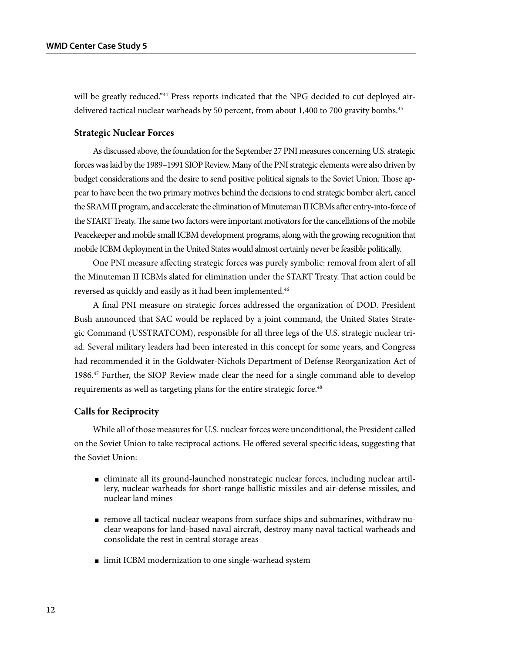will be greatly reduced."<sup>44</sup> Press reports indicated that the NPG decided to cut deployed airdelivered tactical nuclear warheads by 50 percent, from about 1,400 to 700 gravity bombs.<sup>45</sup>

#### **Strategic Nuclear Forces**

As discussed above, the foundation for the September 27 PNI measures concerning U.S. strategic forces was laid by the 1989–1991 SIOP Review. Many of the PNI strategic elements were also driven by budget considerations and the desire to send positive political signals to the Soviet Union. Those appear to have been the two primary motives behind the decisions to end strategic bomber alert, cancel the SRAM II program, and accelerate the elimination of Minuteman II ICBMs after entry-into-force of the START Treaty. The same two factors were important motivators for the cancellations of the mobile Peacekeeper and mobile small ICBM development programs, along with the growing recognition that mobile ICBM deployment in the United States would almost certainly never be feasible politically.

One PNI measure affecting strategic forces was purely symbolic: removal from alert of all the Minuteman II ICBMs slated for elimination under the START Treaty. That action could be reversed as quickly and easily as it had been implemented.<sup>46</sup>

A final PNI measure on strategic forces addressed the organization of DOD. President Bush announced that SAC would be replaced by a joint command, the United States Strategic Command (USSTRATCOM), responsible for all three legs of the U.S. strategic nuclear triad. Several military leaders had been interested in this concept for some years, and Congress had recommended it in the Goldwater-Nichols Department of Defense Reorganization Act of 1986.47 Further, the SIOP Review made clear the need for a single command able to develop requirements as well as targeting plans for the entire strategic force.<sup>48</sup>

#### **Calls for Reciprocity**

While all of those measures for U.S. nuclear forces were unconditional, the President called on the Soviet Union to take reciprocal actions. He offered several specific ideas, suggesting that the Soviet Union:

- eliminate all its ground-launched nonstrategic nuclear forces, including nuclear artillery, nuclear warheads for short-range ballistic missiles and air-defense missiles, and nuclear land mines
- remove all tactical nuclear weapons from surface ships and submarines, withdraw nuclear weapons for land-based naval aircraft, destroy many naval tactical warheads and consolidate the rest in central storage areas
- limit ICBM modernization to one single-warhead system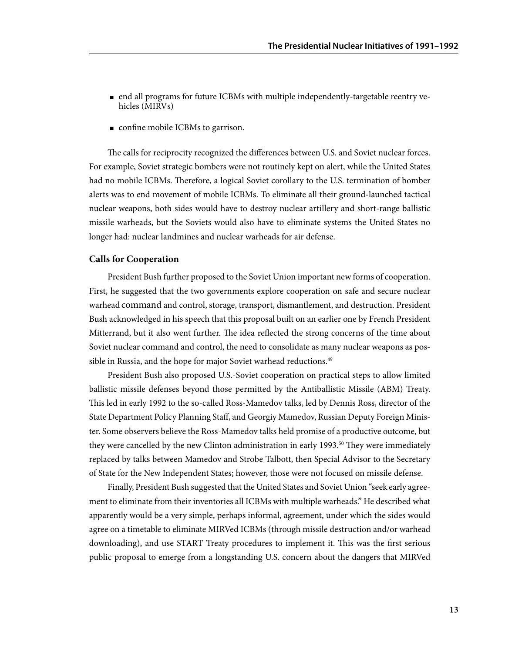- end all programs for future ICBMs with multiple independently-targetable reentry vehicles (MIRVs)
- confine mobile ICBMs to garrison.

The calls for reciprocity recognized the differences between U.S. and Soviet nuclear forces. For example, Soviet strategic bombers were not routinely kept on alert, while the United States had no mobile ICBMs. Therefore, a logical Soviet corollary to the U.S. termination of bomber alerts was to end movement of mobile ICBMs. To eliminate all their ground-launched tactical nuclear weapons, both sides would have to destroy nuclear artillery and short-range ballistic missile warheads, but the Soviets would also have to eliminate systems the United States no longer had: nuclear landmines and nuclear warheads for air defense.

#### **Calls for Cooperation**

President Bush further proposed to the Soviet Union important new forms of cooperation. First, he suggested that the two governments explore cooperation on safe and secure nuclear warhead command and control, storage, transport, dismantlement, and destruction. President Bush acknowledged in his speech that this proposal built on an earlier one by French President Mitterrand, but it also went further. The idea reflected the strong concerns of the time about Soviet nuclear command and control, the need to consolidate as many nuclear weapons as possible in Russia, and the hope for major Soviet warhead reductions.<sup>49</sup>

President Bush also proposed U.S.-Soviet cooperation on practical steps to allow limited ballistic missile defenses beyond those permitted by the Antiballistic Missile (ABM) Treaty. This led in early 1992 to the so-called Ross-Mamedov talks, led by Dennis Ross, director of the State Department Policy Planning Staff, and Georgiy Mamedov, Russian Deputy Foreign Minister. Some observers believe the Ross-Mamedov talks held promise of a productive outcome, but they were cancelled by the new Clinton administration in early 1993.<sup>50</sup> They were immediately replaced by talks between Mamedov and Strobe Talbott, then Special Advisor to the Secretary of State for the New Independent States; however, those were not focused on missile defense.

Finally, President Bush suggested that the United States and Soviet Union "seek early agreement to eliminate from their inventories all ICBMs with multiple warheads." He described what apparently would be a very simple, perhaps informal, agreement, under which the sides would agree on a timetable to eliminate MIRVed ICBMs (through missile destruction and/or warhead downloading), and use START Treaty procedures to implement it. This was the first serious public proposal to emerge from a longstanding U.S. concern about the dangers that MIRVed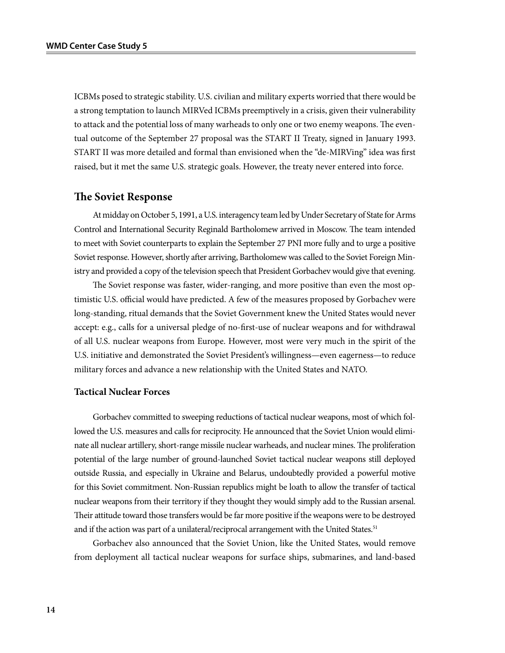ICBMs posed to strategic stability. U.S. civilian and military experts worried that there would be a strong temptation to launch MIRVed ICBMs preemptively in a crisis, given their vulnerability to attack and the potential loss of many warheads to only one or two enemy weapons. The eventual outcome of the September 27 proposal was the START II Treaty, signed in January 1993. START II was more detailed and formal than envisioned when the "de-MIRVing" idea was first raised, but it met the same U.S. strategic goals. However, the treaty never entered into force.

#### **The Soviet Response**

At midday on October 5, 1991, a U.S. interagency team led by Under Secretary of State for Arms Control and International Security Reginald Bartholomew arrived in Moscow. The team intended to meet with Soviet counterparts to explain the September 27 PNI more fully and to urge a positive Soviet response. However, shortly after arriving, Bartholomew was called to the Soviet Foreign Ministry and provided a copy of the television speech that President Gorbachev would give that evening.

The Soviet response was faster, wider-ranging, and more positive than even the most optimistic U.S. official would have predicted. A few of the measures proposed by Gorbachev were long-standing, ritual demands that the Soviet Government knew the United States would never accept: e.g., calls for a universal pledge of no-first-use of nuclear weapons and for withdrawal of all U.S. nuclear weapons from Europe. However, most were very much in the spirit of the U.S. initiative and demonstrated the Soviet President's willingness—even eagerness—to reduce military forces and advance a new relationship with the United States and NATO.

#### **Tactical Nuclear Forces**

Gorbachev committed to sweeping reductions of tactical nuclear weapons, most of which followed the U.S. measures and calls for reciprocity. He announced that the Soviet Union would eliminate all nuclear artillery, short-range missile nuclear warheads, and nuclear mines. The proliferation potential of the large number of ground-launched Soviet tactical nuclear weapons still deployed outside Russia, and especially in Ukraine and Belarus, undoubtedly provided a powerful motive for this Soviet commitment. Non-Russian republics might be loath to allow the transfer of tactical nuclear weapons from their territory if they thought they would simply add to the Russian arsenal. Their attitude toward those transfers would be far more positive if the weapons were to be destroyed and if the action was part of a unilateral/reciprocal arrangement with the United States.<sup>51</sup>

Gorbachev also announced that the Soviet Union, like the United States, would remove from deployment all tactical nuclear weapons for surface ships, submarines, and land-based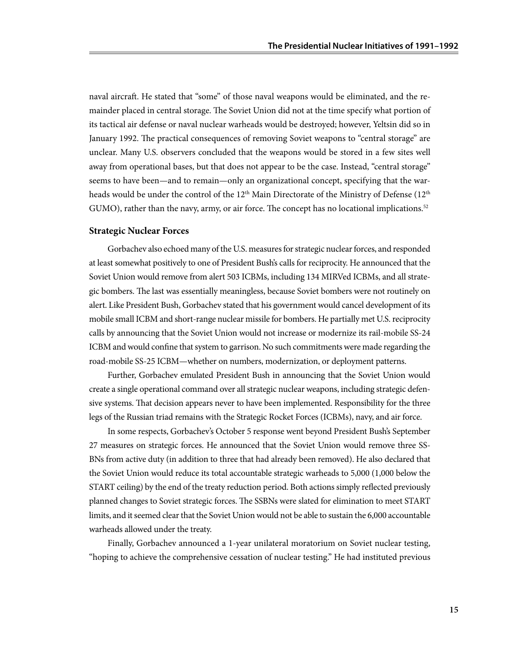naval aircraft. He stated that "some" of those naval weapons would be eliminated, and the remainder placed in central storage. The Soviet Union did not at the time specify what portion of its tactical air defense or naval nuclear warheads would be destroyed; however, Yeltsin did so in January 1992. The practical consequences of removing Soviet weapons to "central storage" are unclear. Many U.S. observers concluded that the weapons would be stored in a few sites well away from operational bases, but that does not appear to be the case. Instead, "central storage" seems to have been—and to remain—only an organizational concept, specifying that the warheads would be under the control of the 12<sup>th</sup> Main Directorate of the Ministry of Defense (12<sup>th</sup> GUMO), rather than the navy, army, or air force. The concept has no locational implications.<sup>52</sup>

#### **Strategic Nuclear Forces**

Gorbachev also echoed many of the U.S. measures for strategic nuclear forces, and responded at least somewhat positively to one of President Bush's calls for reciprocity. He announced that the Soviet Union would remove from alert 503 ICBMs, including 134 MIRVed ICBMs, and all strategic bombers. The last was essentially meaningless, because Soviet bombers were not routinely on alert. Like President Bush, Gorbachev stated that his government would cancel development of its mobile small ICBM and short-range nuclear missile for bombers. He partially met U.S. reciprocity calls by announcing that the Soviet Union would not increase or modernize its rail-mobile SS-24 ICBM and would confine that system to garrison. No such commitments were made regarding the road-mobile SS-25 ICBM—whether on numbers, modernization, or deployment patterns.

Further, Gorbachev emulated President Bush in announcing that the Soviet Union would create a single operational command over all strategic nuclear weapons, including strategic defensive systems. That decision appears never to have been implemented. Responsibility for the three legs of the Russian triad remains with the Strategic Rocket Forces (ICBMs), navy, and air force.

In some respects, Gorbachev's October 5 response went beyond President Bush's September 27 measures on strategic forces. He announced that the Soviet Union would remove three SS-BNs from active duty (in addition to three that had already been removed). He also declared that the Soviet Union would reduce its total accountable strategic warheads to 5,000 (1,000 below the START ceiling) by the end of the treaty reduction period. Both actions simply reflected previously planned changes to Soviet strategic forces. The SSBNs were slated for elimination to meet START limits, and it seemed clear that the Soviet Union would not be able to sustain the 6,000 accountable warheads allowed under the treaty.

Finally, Gorbachev announced a 1-year unilateral moratorium on Soviet nuclear testing, "hoping to achieve the comprehensive cessation of nuclear testing." He had instituted previous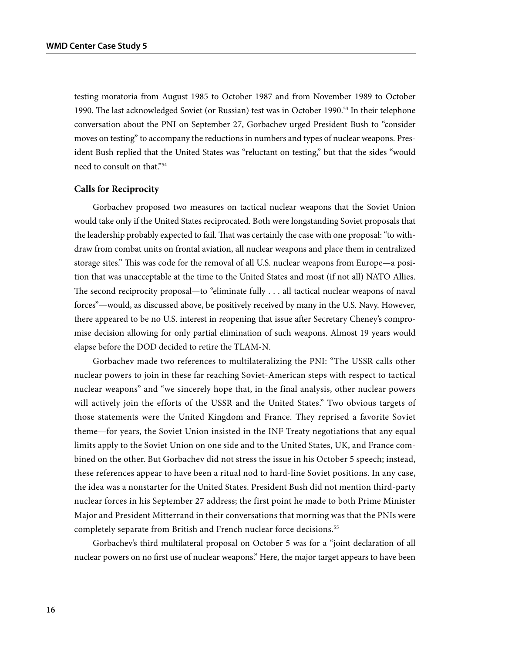testing moratoria from August 1985 to October 1987 and from November 1989 to October 1990. The last acknowledged Soviet (or Russian) test was in October 1990.<sup>53</sup> In their telephone conversation about the PNI on September 27, Gorbachev urged President Bush to "consider moves on testing" to accompany the reductions in numbers and types of nuclear weapons. President Bush replied that the United States was "reluctant on testing," but that the sides "would need to consult on that."54

#### **Calls for Reciprocity**

Gorbachev proposed two measures on tactical nuclear weapons that the Soviet Union would take only if the United States reciprocated. Both were longstanding Soviet proposals that the leadership probably expected to fail. That was certainly the case with one proposal: "to withdraw from combat units on frontal aviation, all nuclear weapons and place them in centralized storage sites." This was code for the removal of all U.S. nuclear weapons from Europe—a position that was unacceptable at the time to the United States and most (if not all) NATO Allies. The second reciprocity proposal—to "eliminate fully . . . all tactical nuclear weapons of naval forces"—would, as discussed above, be positively received by many in the U.S. Navy. However, there appeared to be no U.S. interest in reopening that issue after Secretary Cheney's compromise decision allowing for only partial elimination of such weapons. Almost 19 years would elapse before the DOD decided to retire the TLAM-N.

Gorbachev made two references to multilateralizing the PNI: "The USSR calls other nuclear powers to join in these far reaching Soviet-American steps with respect to tactical nuclear weapons" and "we sincerely hope that, in the final analysis, other nuclear powers will actively join the efforts of the USSR and the United States." Two obvious targets of those statements were the United Kingdom and France. They reprised a favorite Soviet theme—for years, the Soviet Union insisted in the INF Treaty negotiations that any equal limits apply to the Soviet Union on one side and to the United States, UK, and France combined on the other. But Gorbachev did not stress the issue in his October 5 speech; instead, these references appear to have been a ritual nod to hard-line Soviet positions. In any case, the idea was a nonstarter for the United States. President Bush did not mention third-party nuclear forces in his September 27 address; the first point he made to both Prime Minister Major and President Mitterrand in their conversations that morning was that the PNIs were completely separate from British and French nuclear force decisions.<sup>55</sup>

Gorbachev's third multilateral proposal on October 5 was for a "joint declaration of all nuclear powers on no first use of nuclear weapons." Here, the major target appears to have been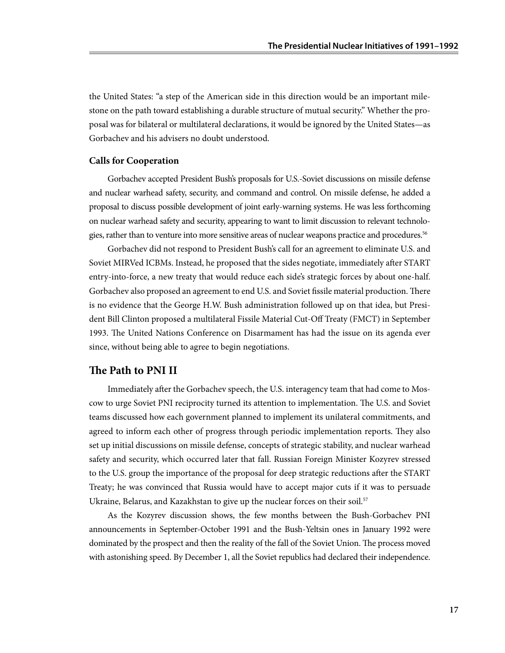the United States: "a step of the American side in this direction would be an important milestone on the path toward establishing a durable structure of mutual security." Whether the proposal was for bilateral or multilateral declarations, it would be ignored by the United States—as Gorbachev and his advisers no doubt understood.

#### **Calls for Cooperation**

Gorbachev accepted President Bush's proposals for U.S.-Soviet discussions on missile defense and nuclear warhead safety, security, and command and control. On missile defense, he added a proposal to discuss possible development of joint early-warning systems. He was less forthcoming on nuclear warhead safety and security, appearing to want to limit discussion to relevant technologies, rather than to venture into more sensitive areas of nuclear weapons practice and procedures.56

Gorbachev did not respond to President Bush's call for an agreement to eliminate U.S. and Soviet MIRVed ICBMs. Instead, he proposed that the sides negotiate, immediately after START entry-into-force, a new treaty that would reduce each side's strategic forces by about one-half. Gorbachev also proposed an agreement to end U.S. and Soviet fissile material production. There is no evidence that the George H.W. Bush administration followed up on that idea, but President Bill Clinton proposed a multilateral Fissile Material Cut-Off Treaty (FMCT) in September 1993. The United Nations Conference on Disarmament has had the issue on its agenda ever since, without being able to agree to begin negotiations.

#### **The Path to PNI II**

Immediately after the Gorbachev speech, the U.S. interagency team that had come to Moscow to urge Soviet PNI reciprocity turned its attention to implementation. The U.S. and Soviet teams discussed how each government planned to implement its unilateral commitments, and agreed to inform each other of progress through periodic implementation reports. They also set up initial discussions on missile defense, concepts of strategic stability, and nuclear warhead safety and security, which occurred later that fall. Russian Foreign Minister Kozyrev stressed to the U.S. group the importance of the proposal for deep strategic reductions after the START Treaty; he was convinced that Russia would have to accept major cuts if it was to persuade Ukraine, Belarus, and Kazakhstan to give up the nuclear forces on their soil.<sup>57</sup>

As the Kozyrev discussion shows, the few months between the Bush-Gorbachev PNI announcements in September-October 1991 and the Bush-Yeltsin ones in January 1992 were dominated by the prospect and then the reality of the fall of the Soviet Union. The process moved with astonishing speed. By December 1, all the Soviet republics had declared their independence.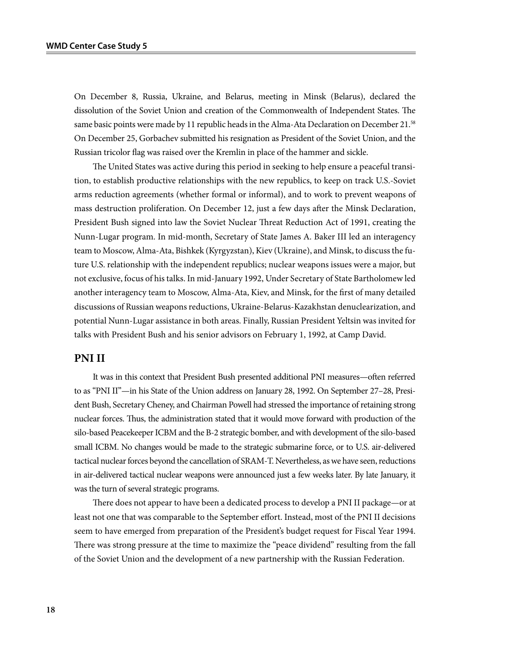On December 8, Russia, Ukraine, and Belarus, meeting in Minsk (Belarus), declared the dissolution of the Soviet Union and creation of the Commonwealth of Independent States. The same basic points were made by 11 republic heads in the Alma-Ata Declaration on December 21.<sup>58</sup> On December 25, Gorbachev submitted his resignation as President of the Soviet Union, and the Russian tricolor flag was raised over the Kremlin in place of the hammer and sickle.

The United States was active during this period in seeking to help ensure a peaceful transition, to establish productive relationships with the new republics, to keep on track U.S.-Soviet arms reduction agreements (whether formal or informal), and to work to prevent weapons of mass destruction proliferation. On December 12, just a few days after the Minsk Declaration, President Bush signed into law the Soviet Nuclear Threat Reduction Act of 1991, creating the Nunn-Lugar program. In mid-month, Secretary of State James A. Baker III led an interagency team to Moscow, Alma-Ata, Bishkek (Kyrgyzstan), Kiev (Ukraine), and Minsk, to discuss the future U.S. relationship with the independent republics; nuclear weapons issues were a major, but not exclusive, focus of his talks. In mid-January 1992, Under Secretary of State Bartholomew led another interagency team to Moscow, Alma-Ata, Kiev, and Minsk, for the first of many detailed discussions of Russian weapons reductions, Ukraine-Belarus-Kazakhstan denuclearization, and potential Nunn-Lugar assistance in both areas. Finally, Russian President Yeltsin was invited for talks with President Bush and his senior advisors on February 1, 1992, at Camp David.

#### **PNI II**

It was in this context that President Bush presented additional PNI measures—often referred to as "PNI II"—in his State of the Union address on January 28, 1992. On September 27–28, President Bush, Secretary Cheney, and Chairman Powell had stressed the importance of retaining strong nuclear forces. Thus, the administration stated that it would move forward with production of the silo-based Peacekeeper ICBM and the B-2 strategic bomber, and with development of the silo-based small ICBM. No changes would be made to the strategic submarine force, or to U.S. air-delivered tactical nuclear forces beyond the cancellation of SRAM-T. Nevertheless, as we have seen, reductions in air-delivered tactical nuclear weapons were announced just a few weeks later. By late January, it was the turn of several strategic programs.

There does not appear to have been a dedicated process to develop a PNI II package—or at least not one that was comparable to the September effort. Instead, most of the PNI II decisions seem to have emerged from preparation of the President's budget request for Fiscal Year 1994. There was strong pressure at the time to maximize the "peace dividend" resulting from the fall of the Soviet Union and the development of a new partnership with the Russian Federation.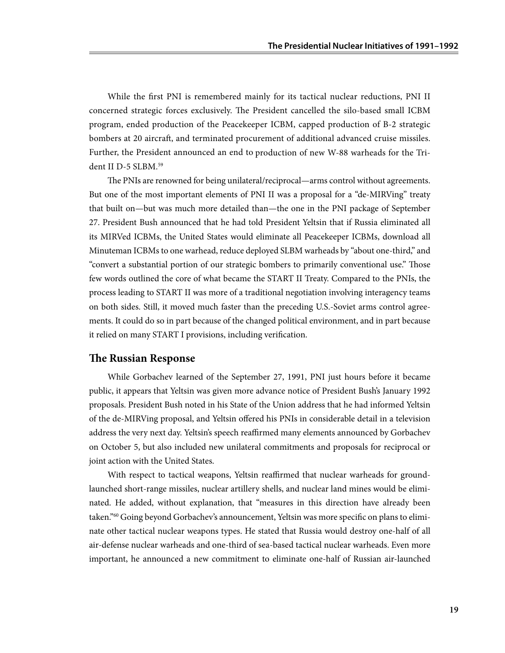While the first PNI is remembered mainly for its tactical nuclear reductions, PNI II concerned strategic forces exclusively. The President cancelled the silo-based small ICBM program, ended production of the Peacekeeper ICBM, capped production of B-2 strategic bombers at 20 aircraft, and terminated procurement of additional advanced cruise missiles. Further, the President announced an end to production of new W-88 warheads for the Trident II D-5 SLBM.<sup>59</sup>

The PNIs are renowned for being unilateral/reciprocal—arms control without agreements. But one of the most important elements of PNI II was a proposal for a "de-MIRVing" treaty that built on—but was much more detailed than—the one in the PNI package of September 27. President Bush announced that he had told President Yeltsin that if Russia eliminated all its MIRVed ICBMs, the United States would eliminate all Peacekeeper ICBMs, download all Minuteman ICBMs to one warhead, reduce deployed SLBM warheads by "about one-third," and "convert a substantial portion of our strategic bombers to primarily conventional use." Those few words outlined the core of what became the START II Treaty. Compared to the PNIs, the process leading to START II was more of a traditional negotiation involving interagency teams on both sides. Still, it moved much faster than the preceding U.S.-Soviet arms control agreements. It could do so in part because of the changed political environment, and in part because it relied on many START I provisions, including verification.

#### **The Russian Response**

While Gorbachev learned of the September 27, 1991, PNI just hours before it became public, it appears that Yeltsin was given more advance notice of President Bush's January 1992 proposals. President Bush noted in his State of the Union address that he had informed Yeltsin of the de-MIRVing proposal, and Yeltsin offered his PNIs in considerable detail in a television address the very next day. Yeltsin's speech reaffirmed many elements announced by Gorbachev on October 5, but also included new unilateral commitments and proposals for reciprocal or joint action with the United States.

With respect to tactical weapons, Yeltsin reaffirmed that nuclear warheads for groundlaunched short-range missiles, nuclear artillery shells, and nuclear land mines would be eliminated. He added, without explanation, that "measures in this direction have already been taken."60 Going beyond Gorbachev's announcement, Yeltsin was more specific on plans to eliminate other tactical nuclear weapons types. He stated that Russia would destroy one-half of all air-defense nuclear warheads and one-third of sea-based tactical nuclear warheads. Even more important, he announced a new commitment to eliminate one-half of Russian air-launched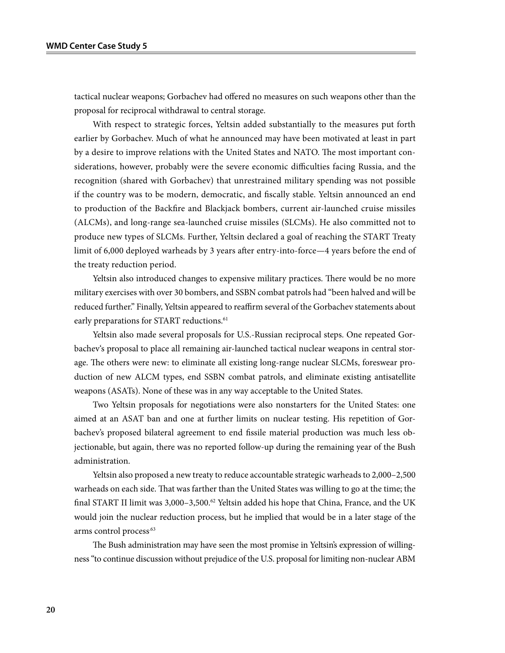tactical nuclear weapons; Gorbachev had offered no measures on such weapons other than the proposal for reciprocal withdrawal to central storage.

With respect to strategic forces, Yeltsin added substantially to the measures put forth earlier by Gorbachev. Much of what he announced may have been motivated at least in part by a desire to improve relations with the United States and NATO. The most important considerations, however, probably were the severe economic difficulties facing Russia, and the recognition (shared with Gorbachev) that unrestrained military spending was not possible if the country was to be modern, democratic, and fiscally stable. Yeltsin announced an end to production of the Backfire and Blackjack bombers, current air-launched cruise missiles (ALCMs), and long-range sea-launched cruise missiles (SLCMs). He also committed not to produce new types of SLCMs. Further, Yeltsin declared a goal of reaching the START Treaty limit of 6,000 deployed warheads by 3 years after entry-into-force—4 years before the end of the treaty reduction period.

Yeltsin also introduced changes to expensive military practices. There would be no more military exercises with over 30 bombers, and SSBN combat patrols had "been halved and will be reduced further." Finally, Yeltsin appeared to reaffirm several of the Gorbachev statements about early preparations for START reductions.<sup>61</sup>

Yeltsin also made several proposals for U.S.-Russian reciprocal steps. One repeated Gorbachev's proposal to place all remaining air-launched tactical nuclear weapons in central storage. The others were new: to eliminate all existing long-range nuclear SLCMs, foreswear production of new ALCM types, end SSBN combat patrols, and eliminate existing antisatellite weapons (ASATs). None of these was in any way acceptable to the United States.

Two Yeltsin proposals for negotiations were also nonstarters for the United States: one aimed at an ASAT ban and one at further limits on nuclear testing. His repetition of Gorbachev's proposed bilateral agreement to end fissile material production was much less objectionable, but again, there was no reported follow-up during the remaining year of the Bush administration.

Yeltsin also proposed a new treaty to reduce accountable strategic warheads to 2,000–2,500 warheads on each side. That was farther than the United States was willing to go at the time; the final START II limit was  $3,000-3,500$ .<sup>62</sup> Yeltsin added his hope that China, France, and the UK would join the nuclear reduction process, but he implied that would be in a later stage of the arms control process.<sup>63</sup>

The Bush administration may have seen the most promise in Yeltsin's expression of willingness "to continue discussion without prejudice of the U.S. proposal for limiting non-nuclear ABM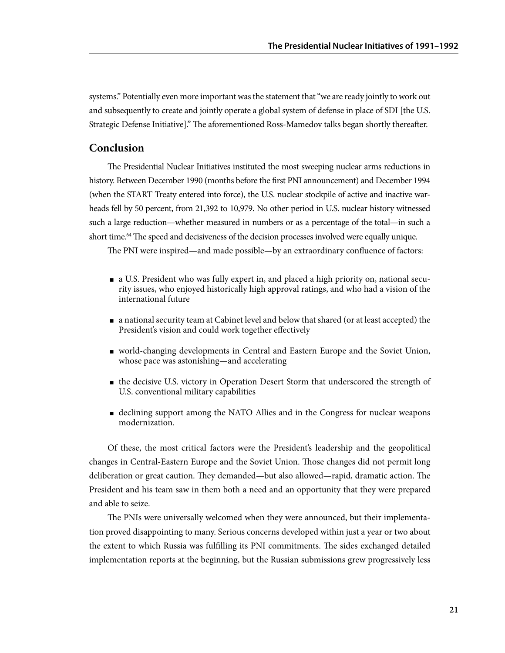systems." Potentially even more important was the statement that "we are ready jointly to work out and subsequently to create and jointly operate a global system of defense in place of SDI [the U.S. Strategic Defense Initiative]." The aforementioned Ross-Mamedov talks began shortly thereafter.

#### **Conclusion**

The Presidential Nuclear Initiatives instituted the most sweeping nuclear arms reductions in history. Between December 1990 (months before the first PNI announcement) and December 1994 (when the START Treaty entered into force), the U.S. nuclear stockpile of active and inactive warheads fell by 50 percent, from 21,392 to 10,979. No other period in U.S. nuclear history witnessed such a large reduction—whether measured in numbers or as a percentage of the total—in such a short time.<sup>64</sup> The speed and decisiveness of the decision processes involved were equally unique.

The PNI were inspired—and made possible—by an extraordinary confluence of factors:

- a U.S. President who was fully expert in, and placed a high priority on, national security issues, who enjoyed historically high approval ratings, and who had a vision of the international future
- a national security team at Cabinet level and below that shared (or at least accepted) the President's vision and could work together effectively
- world-changing developments in Central and Eastern Europe and the Soviet Union, whose pace was astonishing—and accelerating
- the decisive U.S. victory in Operation Desert Storm that underscored the strength of U.S. conventional military capabilities
- declining support among the NATO Allies and in the Congress for nuclear weapons modernization.

Of these, the most critical factors were the President's leadership and the geopolitical changes in Central-Eastern Europe and the Soviet Union. Those changes did not permit long deliberation or great caution. They demanded—but also allowed—rapid, dramatic action. The President and his team saw in them both a need and an opportunity that they were prepared and able to seize.

The PNIs were universally welcomed when they were announced, but their implementation proved disappointing to many. Serious concerns developed within just a year or two about the extent to which Russia was fulfilling its PNI commitments. The sides exchanged detailed implementation reports at the beginning, but the Russian submissions grew progressively less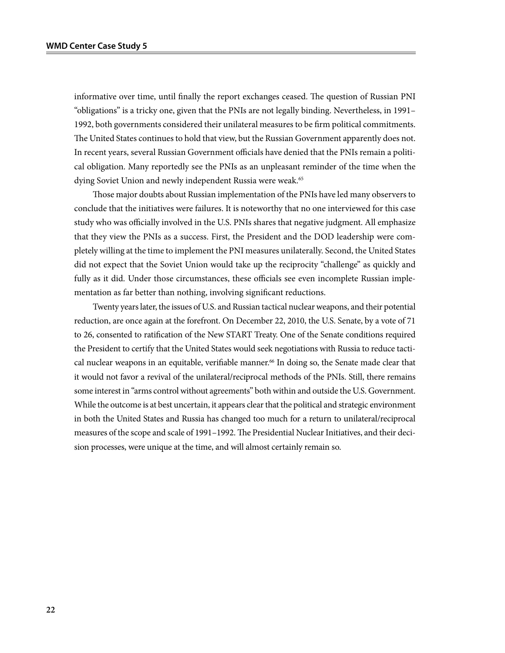informative over time, until finally the report exchanges ceased. The question of Russian PNI "obligations" is a tricky one, given that the PNIs are not legally binding. Nevertheless, in 1991– 1992, both governments considered their unilateral measures to be firm political commitments. The United States continues to hold that view, but the Russian Government apparently does not. In recent years, several Russian Government officials have denied that the PNIs remain a political obligation. Many reportedly see the PNIs as an unpleasant reminder of the time when the dying Soviet Union and newly independent Russia were weak.<sup>65</sup>

Those major doubts about Russian implementation of the PNIs have led many observers to conclude that the initiatives were failures. It is noteworthy that no one interviewed for this case study who was officially involved in the U.S. PNIs shares that negative judgment. All emphasize that they view the PNIs as a success. First, the President and the DOD leadership were completely willing at the time to implement the PNI measures unilaterally. Second, the United States did not expect that the Soviet Union would take up the reciprocity "challenge" as quickly and fully as it did. Under those circumstances, these officials see even incomplete Russian implementation as far better than nothing, involving significant reductions.

Twenty years later, the issues of U.S. and Russian tactical nuclear weapons, and their potential reduction, are once again at the forefront. On December 22, 2010, the U.S. Senate, by a vote of 71 to 26, consented to ratification of the New START Treaty. One of the Senate conditions required the President to certify that the United States would seek negotiations with Russia to reduce tactical nuclear weapons in an equitable, verifiable manner.<sup>66</sup> In doing so, the Senate made clear that it would not favor a revival of the unilateral/reciprocal methods of the PNIs. Still, there remains some interest in "arms control without agreements" both within and outside the U.S. Government. While the outcome is at best uncertain, it appears clear that the political and strategic environment in both the United States and Russia has changed too much for a return to unilateral/reciprocal measures of the scope and scale of 1991–1992. The Presidential Nuclear Initiatives, and their decision processes, were unique at the time, and will almost certainly remain so.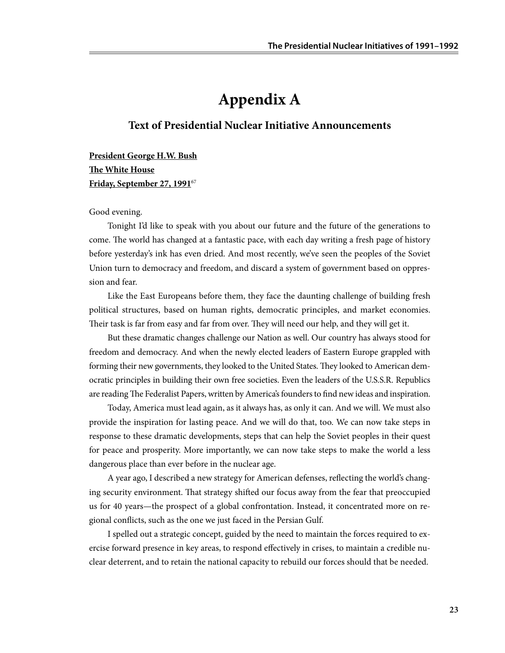### **Appendix A**

#### **Text of Presidential Nuclear Initiative Announcements**

**President George H.W. Bush The White House Friday, September 27, 1991**<sup>67</sup>

#### Good evening.

Tonight I'd like to speak with you about our future and the future of the generations to come. The world has changed at a fantastic pace, with each day writing a fresh page of history before yesterday's ink has even dried. And most recently, we've seen the peoples of the Soviet Union turn to democracy and freedom, and discard a system of government based on oppression and fear.

Like the East Europeans before them, they face the daunting challenge of building fresh political structures, based on human rights, democratic principles, and market economies. Their task is far from easy and far from over. They will need our help, and they will get it.

But these dramatic changes challenge our Nation as well. Our country has always stood for freedom and democracy. And when the newly elected leaders of Eastern Europe grappled with forming their new governments, they looked to the United States. They looked to American democratic principles in building their own free societies. Even the leaders of the U.S.S.R. Republics are reading The Federalist Papers, written by America's founders to find new ideas and inspiration.

Today, America must lead again, as it always has, as only it can. And we will. We must also provide the inspiration for lasting peace. And we will do that, too. We can now take steps in response to these dramatic developments, steps that can help the Soviet peoples in their quest for peace and prosperity. More importantly, we can now take steps to make the world a less dangerous place than ever before in the nuclear age.

A year ago, I described a new strategy for American defenses, reflecting the world's changing security environment. That strategy shifted our focus away from the fear that preoccupied us for 40 years—the prospect of a global confrontation. Instead, it concentrated more on regional conflicts, such as the one we just faced in the Persian Gulf.

I spelled out a strategic concept, guided by the need to maintain the forces required to exercise forward presence in key areas, to respond effectively in crises, to maintain a credible nuclear deterrent, and to retain the national capacity to rebuild our forces should that be needed.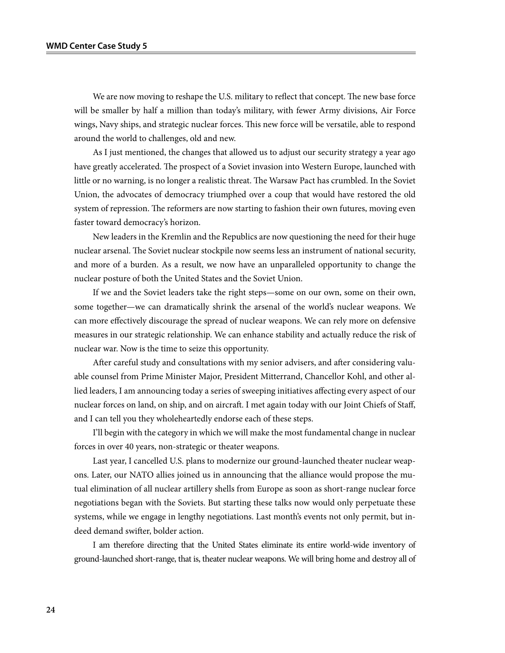We are now moving to reshape the U.S. military to reflect that concept. The new base force will be smaller by half a million than today's military, with fewer Army divisions, Air Force wings, Navy ships, and strategic nuclear forces. This new force will be versatile, able to respond around the world to challenges, old and new.

As I just mentioned, the changes that allowed us to adjust our security strategy a year ago have greatly accelerated. The prospect of a Soviet invasion into Western Europe, launched with little or no warning, is no longer a realistic threat. The Warsaw Pact has crumbled. In the Soviet Union, the advocates of democracy triumphed over a coup that would have restored the old system of repression. The reformers are now starting to fashion their own futures, moving even faster toward democracy's horizon.

New leaders in the Kremlin and the Republics are now questioning the need for their huge nuclear arsenal. The Soviet nuclear stockpile now seems less an instrument of national security, and more of a burden. As a result, we now have an unparalleled opportunity to change the nuclear posture of both the United States and the Soviet Union.

If we and the Soviet leaders take the right steps—some on our own, some on their own, some together—we can dramatically shrink the arsenal of the world's nuclear weapons. We can more effectively discourage the spread of nuclear weapons. We can rely more on defensive measures in our strategic relationship. We can enhance stability and actually reduce the risk of nuclear war. Now is the time to seize this opportunity.

After careful study and consultations with my senior advisers, and after considering valuable counsel from Prime Minister Major, President Mitterrand, Chancellor Kohl, and other allied leaders, I am announcing today a series of sweeping initiatives affecting every aspect of our nuclear forces on land, on ship, and on aircraft. I met again today with our Joint Chiefs of Staff, and I can tell you they wholeheartedly endorse each of these steps.

I'll begin with the category in which we will make the most fundamental change in nuclear forces in over 40 years, non-strategic or theater weapons.

Last year, I cancelled U.S. plans to modernize our ground-launched theater nuclear weapons. Later, our NATO allies joined us in announcing that the alliance would propose the mutual elimination of all nuclear artillery shells from Europe as soon as short-range nuclear force negotiations began with the Soviets. But starting these talks now would only perpetuate these systems, while we engage in lengthy negotiations. Last month's events not only permit, but indeed demand swifter, bolder action.

I am therefore directing that the United States eliminate its entire world-wide inventory of ground-launched short-range, that is, theater nuclear weapons. We will bring home and destroy all of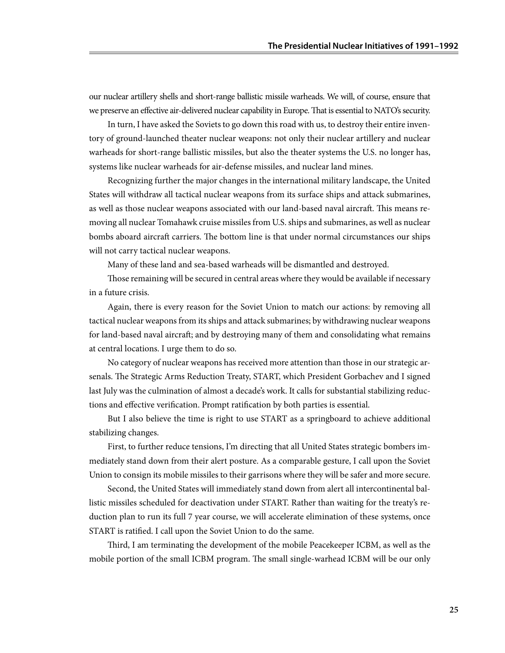our nuclear artillery shells and short-range ballistic missile warheads. We will, of course, ensure that we preserve an effective air-delivered nuclear capability in Europe. That is essential to NATO's security.

In turn, I have asked the Soviets to go down this road with us, to destroy their entire inventory of ground-launched theater nuclear weapons: not only their nuclear artillery and nuclear warheads for short-range ballistic missiles, but also the theater systems the U.S. no longer has, systems like nuclear warheads for air-defense missiles, and nuclear land mines.

Recognizing further the major changes in the international military landscape, the United States will withdraw all tactical nuclear weapons from its surface ships and attack submarines, as well as those nuclear weapons associated with our land-based naval aircraft. This means removing all nuclear Tomahawk cruise missiles from U.S. ships and submarines, as well as nuclear bombs aboard aircraft carriers. The bottom line is that under normal circumstances our ships will not carry tactical nuclear weapons.

Many of these land and sea-based warheads will be dismantled and destroyed.

Those remaining will be secured in central areas where they would be available if necessary in a future crisis.

Again, there is every reason for the Soviet Union to match our actions: by removing all tactical nuclear weapons from its ships and attack submarines; by withdrawing nuclear weapons for land-based naval aircraft; and by destroying many of them and consolidating what remains at central locations. I urge them to do so.

No category of nuclear weapons has received more attention than those in our strategic arsenals. The Strategic Arms Reduction Treaty, START, which President Gorbachev and I signed last July was the culmination of almost a decade's work. It calls for substantial stabilizing reductions and effective verification. Prompt ratification by both parties is essential.

But I also believe the time is right to use START as a springboard to achieve additional stabilizing changes.

First, to further reduce tensions, I'm directing that all United States strategic bombers immediately stand down from their alert posture. As a comparable gesture, I call upon the Soviet Union to consign its mobile missiles to their garrisons where they will be safer and more secure.

Second, the United States will immediately stand down from alert all intercontinental ballistic missiles scheduled for deactivation under START. Rather than waiting for the treaty's reduction plan to run its full 7 year course, we will accelerate elimination of these systems, once START is ratified. I call upon the Soviet Union to do the same.

Third, I am terminating the development of the mobile Peacekeeper ICBM, as well as the mobile portion of the small ICBM program. The small single-warhead ICBM will be our only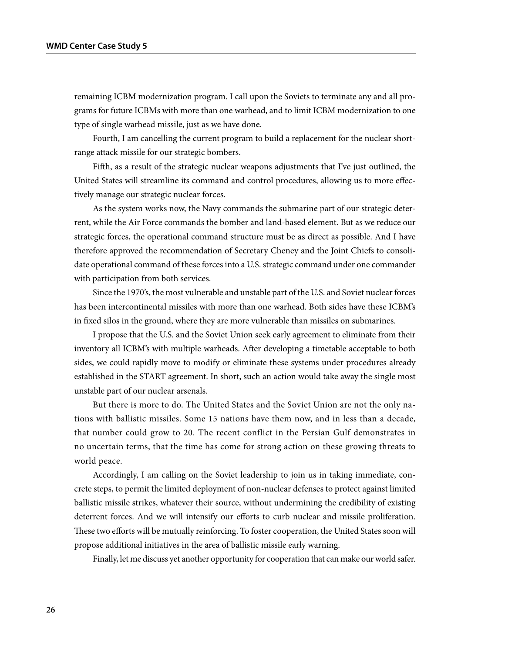remaining ICBM modernization program. I call upon the Soviets to terminate any and all programs for future ICBMs with more than one warhead, and to limit ICBM modernization to one type of single warhead missile, just as we have done.

Fourth, I am cancelling the current program to build a replacement for the nuclear shortrange attack missile for our strategic bombers.

Fifth, as a result of the strategic nuclear weapons adjustments that I've just outlined, the United States will streamline its command and control procedures, allowing us to more effectively manage our strategic nuclear forces.

As the system works now, the Navy commands the submarine part of our strategic deterrent, while the Air Force commands the bomber and land-based element. But as we reduce our strategic forces, the operational command structure must be as direct as possible. And I have therefore approved the recommendation of Secretary Cheney and the Joint Chiefs to consolidate operational command of these forces into a U.S. strategic command under one commander with participation from both services.

Since the 1970's, the most vulnerable and unstable part of the U.S. and Soviet nuclear forces has been intercontinental missiles with more than one warhead. Both sides have these ICBM's in fixed silos in the ground, where they are more vulnerable than missiles on submarines.

I propose that the U.S. and the Soviet Union seek early agreement to eliminate from their inventory all ICBM's with multiple warheads. After developing a timetable acceptable to both sides, we could rapidly move to modify or eliminate these systems under procedures already established in the START agreement. In short, such an action would take away the single most unstable part of our nuclear arsenals.

But there is more to do. The United States and the Soviet Union are not the only nations with ballistic missiles. Some 15 nations have them now, and in less than a decade, that number could grow to 20. The recent conflict in the Persian Gulf demonstrates in no uncertain terms, that the time has come for strong action on these growing threats to world peace.

Accordingly, I am calling on the Soviet leadership to join us in taking immediate, concrete steps, to permit the limited deployment of non-nuclear defenses to protect against limited ballistic missile strikes, whatever their source, without undermining the credibility of existing deterrent forces. And we will intensify our efforts to curb nuclear and missile proliferation. These two efforts will be mutually reinforcing. To foster cooperation, the United States soon will propose additional initiatives in the area of ballistic missile early warning.

Finally, let me discuss yet another opportunity for cooperation that can make our world safer.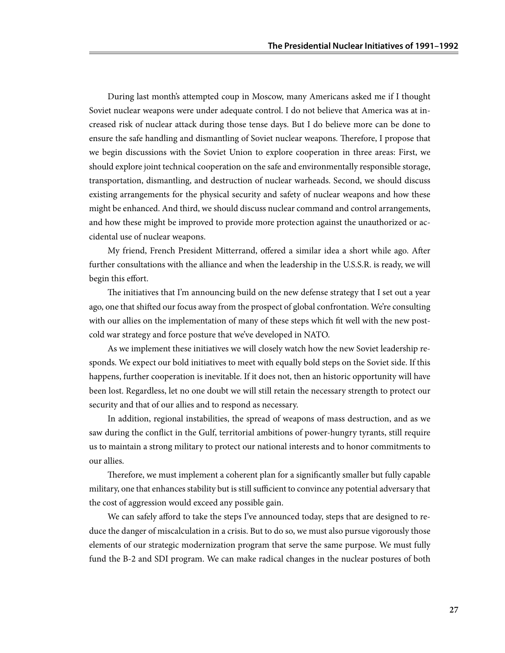During last month's attempted coup in Moscow, many Americans asked me if I thought Soviet nuclear weapons were under adequate control. I do not believe that America was at increased risk of nuclear attack during those tense days. But I do believe more can be done to ensure the safe handling and dismantling of Soviet nuclear weapons. Therefore, I propose that we begin discussions with the Soviet Union to explore cooperation in three areas: First, we should explore joint technical cooperation on the safe and environmentally responsible storage, transportation, dismantling, and destruction of nuclear warheads. Second, we should discuss existing arrangements for the physical security and safety of nuclear weapons and how these might be enhanced. And third, we should discuss nuclear command and control arrangements, and how these might be improved to provide more protection against the unauthorized or accidental use of nuclear weapons.

My friend, French President Mitterrand, offered a similar idea a short while ago. After further consultations with the alliance and when the leadership in the U.S.S.R. is ready, we will begin this effort.

The initiatives that I'm announcing build on the new defense strategy that I set out a year ago, one that shifted our focus away from the prospect of global confrontation. We're consulting with our allies on the implementation of many of these steps which fit well with the new postcold war strategy and force posture that we've developed in NATO.

As we implement these initiatives we will closely watch how the new Soviet leadership responds. We expect our bold initiatives to meet with equally bold steps on the Soviet side. If this happens, further cooperation is inevitable. If it does not, then an historic opportunity will have been lost. Regardless, let no one doubt we will still retain the necessary strength to protect our security and that of our allies and to respond as necessary.

In addition, regional instabilities, the spread of weapons of mass destruction, and as we saw during the conflict in the Gulf, territorial ambitions of power-hungry tyrants, still require us to maintain a strong military to protect our national interests and to honor commitments to our allies.

Therefore, we must implement a coherent plan for a significantly smaller but fully capable military, one that enhances stability but is still sufficient to convince any potential adversary that the cost of aggression would exceed any possible gain.

We can safely afford to take the steps I've announced today, steps that are designed to reduce the danger of miscalculation in a crisis. But to do so, we must also pursue vigorously those elements of our strategic modernization program that serve the same purpose. We must fully fund the B-2 and SDI program. We can make radical changes in the nuclear postures of both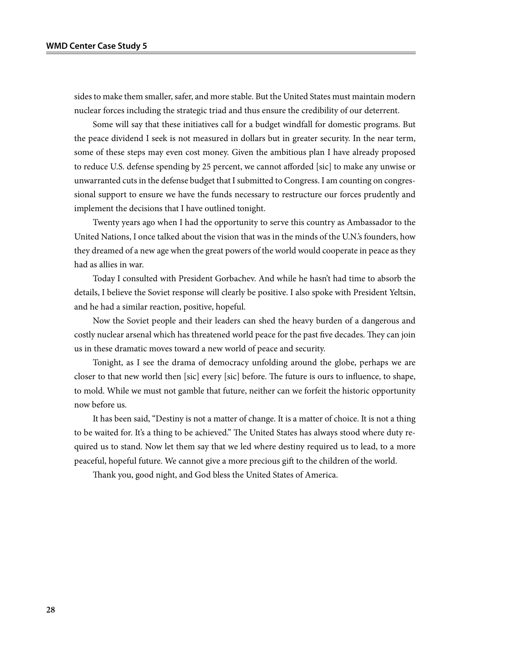sides to make them smaller, safer, and more stable. But the United States must maintain modern nuclear forces including the strategic triad and thus ensure the credibility of our deterrent.

Some will say that these initiatives call for a budget windfall for domestic programs. But the peace dividend I seek is not measured in dollars but in greater security. In the near term, some of these steps may even cost money. Given the ambitious plan I have already proposed to reduce U.S. defense spending by 25 percent, we cannot afforded [sic] to make any unwise or unwarranted cuts in the defense budget that I submitted to Congress. I am counting on congressional support to ensure we have the funds necessary to restructure our forces prudently and implement the decisions that I have outlined tonight.

Twenty years ago when I had the opportunity to serve this country as Ambassador to the United Nations, I once talked about the vision that was in the minds of the U.N.'s founders, how they dreamed of a new age when the great powers of the world would cooperate in peace as they had as allies in war.

Today I consulted with President Gorbachev. And while he hasn't had time to absorb the details, I believe the Soviet response will clearly be positive. I also spoke with President Yeltsin, and he had a similar reaction, positive, hopeful.

Now the Soviet people and their leaders can shed the heavy burden of a dangerous and costly nuclear arsenal which has threatened world peace for the past five decades. They can join us in these dramatic moves toward a new world of peace and security.

Tonight, as I see the drama of democracy unfolding around the globe, perhaps we are closer to that new world then [sic] every [sic] before. The future is ours to influence, to shape, to mold. While we must not gamble that future, neither can we forfeit the historic opportunity now before us.

It has been said, "Destiny is not a matter of change. It is a matter of choice. It is not a thing to be waited for. It's a thing to be achieved." The United States has always stood where duty required us to stand. Now let them say that we led where destiny required us to lead, to a more peaceful, hopeful future. We cannot give a more precious gift to the children of the world.

Thank you, good night, and God bless the United States of America.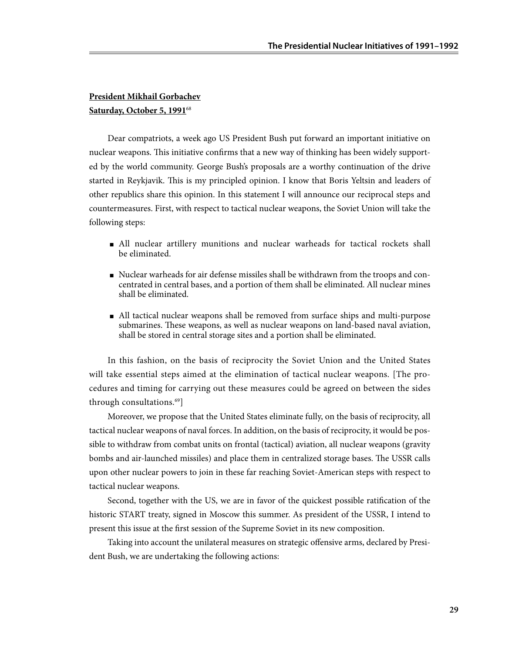#### **President Mikhail Gorbachev Saturday, October 5, 1991**<sup>68</sup>

Dear compatriots, a week ago US President Bush put forward an important initiative on nuclear weapons. This initiative confirms that a new way of thinking has been widely supported by the world community. George Bush's proposals are a worthy continuation of the drive started in Reykjavik. This is my principled opinion. I know that Boris Yeltsin and leaders of other republics share this opinion. In this statement I will announce our reciprocal steps and countermeasures. First, with respect to tactical nuclear weapons, the Soviet Union will take the following steps:

- All nuclear artillery munitions and nuclear warheads for tactical rockets shall be eliminated.
- Nuclear warheads for air defense missiles shall be withdrawn from the troops and concentrated in central bases, and a portion of them shall be eliminated. All nuclear mines shall be eliminated.
- All tactical nuclear weapons shall be removed from surface ships and multi-purpose submarines. These weapons, as well as nuclear weapons on land-based naval aviation, shall be stored in central storage sites and a portion shall be eliminated.

In this fashion, on the basis of reciprocity the Soviet Union and the United States will take essential steps aimed at the elimination of tactical nuclear weapons. [The procedures and timing for carrying out these measures could be agreed on between the sides through consultations.69]

Moreover, we propose that the United States eliminate fully, on the basis of reciprocity, all tactical nuclear weapons of naval forces. In addition, on the basis of reciprocity, it would be possible to withdraw from combat units on frontal (tactical) aviation, all nuclear weapons (gravity bombs and air-launched missiles) and place them in centralized storage bases. The USSR calls upon other nuclear powers to join in these far reaching Soviet-American steps with respect to tactical nuclear weapons.

Second, together with the US, we are in favor of the quickest possible ratification of the historic START treaty, signed in Moscow this summer. As president of the USSR, I intend to present this issue at the first session of the Supreme Soviet in its new composition.

Taking into account the unilateral measures on strategic offensive arms, declared by President Bush, we are undertaking the following actions: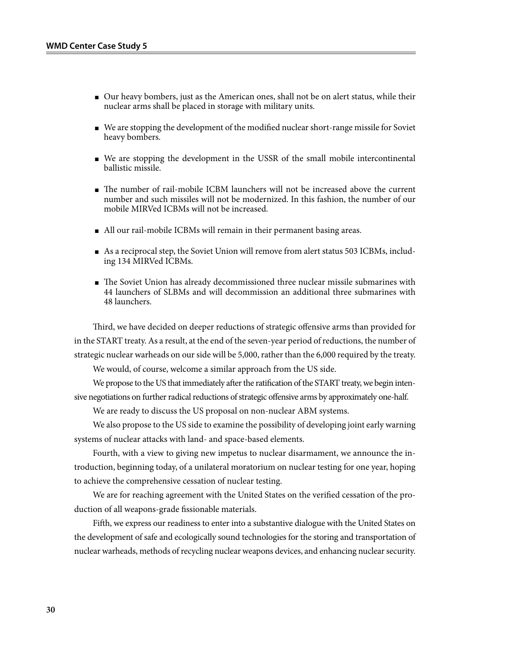- Our heavy bombers, just as the American ones, shall not be on alert status, while their nuclear arms shall be placed in storage with military units.
- We are stopping the development of the modified nuclear short-range missile for Soviet heavy bombers.
- We are stopping the development in the USSR of the small mobile intercontinental ballistic missile.
- The number of rail-mobile ICBM launchers will not be increased above the current number and such missiles will not be modernized. In this fashion, the number of our mobile MIRVed ICBMs will not be increased.
- All our rail-mobile ICBMs will remain in their permanent basing areas.
- As a reciprocal step, the Soviet Union will remove from alert status 503 ICBMs, including 134 MIRVed ICBMs.
- The Soviet Union has already decommissioned three nuclear missile submarines with 44 launchers of SLBMs and will decommission an additional three submarines with 48 launchers.

Third, we have decided on deeper reductions of strategic offensive arms than provided for in the START treaty. As a result, at the end of the seven-year period of reductions, the number of strategic nuclear warheads on our side will be 5,000, rather than the 6,000 required by the treaty.

We would, of course, welcome a similar approach from the US side.

We propose to the US that immediately after the ratification of the START treaty, we begin intensive negotiations on further radical reductions of strategic offensive arms by approximately one-half.

We are ready to discuss the US proposal on non-nuclear ABM systems.

We also propose to the US side to examine the possibility of developing joint early warning systems of nuclear attacks with land- and space-based elements.

Fourth, with a view to giving new impetus to nuclear disarmament, we announce the introduction, beginning today, of a unilateral moratorium on nuclear testing for one year, hoping to achieve the comprehensive cessation of nuclear testing.

We are for reaching agreement with the United States on the verified cessation of the production of all weapons-grade fissionable materials.

Fifth, we express our readiness to enter into a substantive dialogue with the United States on the development of safe and ecologically sound technologies for the storing and transportation of nuclear warheads, methods of recycling nuclear weapons devices, and enhancing nuclear security.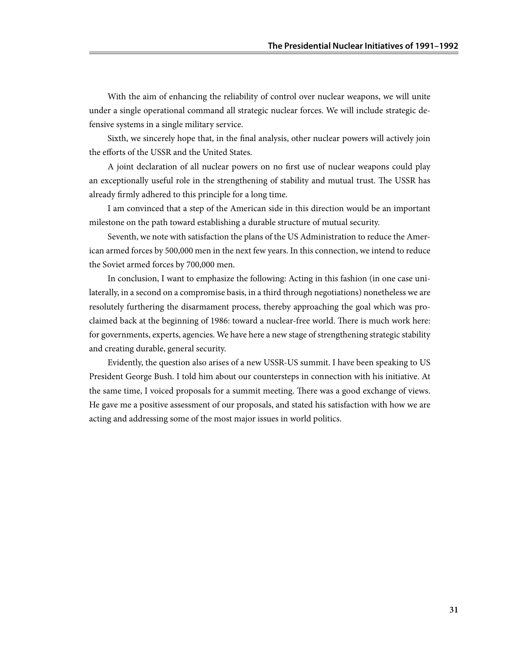With the aim of enhancing the reliability of control over nuclear weapons, we will unite under a single operational command all strategic nuclear forces. We will include strategic defensive systems in a single military service.

Sixth, we sincerely hope that, in the final analysis, other nuclear powers will actively join the efforts of the USSR and the United States.

A joint declaration of all nuclear powers on no first use of nuclear weapons could play an exceptionally useful role in the strengthening of stability and mutual trust. The USSR has already firmly adhered to this principle for a long time.

I am convinced that a step of the American side in this direction would be an important milestone on the path toward establishing a durable structure of mutual security.

Seventh, we note with satisfaction the plans of the US Administration to reduce the American armed forces by 500,000 men in the next few years. In this connection, we intend to reduce the Soviet armed forces by 700,000 men.

In conclusion, I want to emphasize the following: Acting in this fashion (in one case unilaterally, in a second on a compromise basis, in a third through negotiations) nonetheless we are resolutely furthering the disarmament process, thereby approaching the goal which was proclaimed back at the beginning of 1986: toward a nuclear-free world. There is much work here: for governments, experts, agencies. We have here a new stage of strengthening strategic stability and creating durable, general security.

Evidently, the question also arises of a new USSR-US summit. I have been speaking to US President George Bush. I told him about our countersteps in connection with his initiative. At the same time, I voiced proposals for a summit meeting. There was a good exchange of views. He gave me a positive assessment of our proposals, and stated his satisfaction with how we are acting and addressing some of the most major issues in world politics.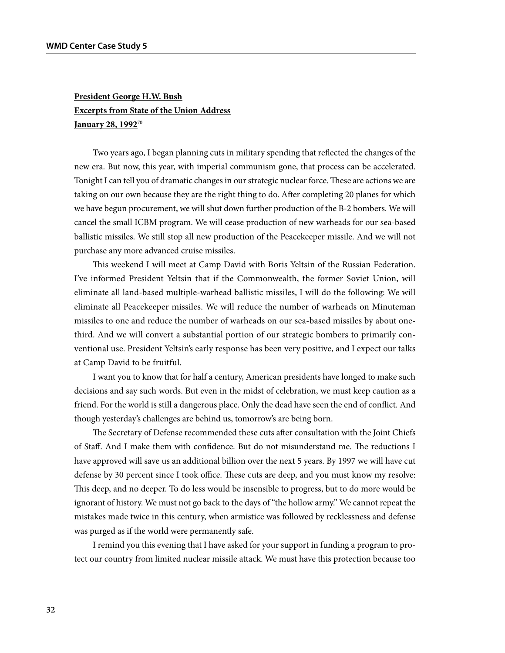#### **President George H.W. Bush Excerpts from State of the Union Address January 28, 1992**<sup>70</sup>

Two years ago, I began planning cuts in military spending that reflected the changes of the new era. But now, this year, with imperial communism gone, that process can be accelerated. Tonight I can tell you of dramatic changes in our strategic nuclear force. These are actions we are taking on our own because they are the right thing to do. After completing 20 planes for which we have begun procurement, we will shut down further production of the B-2 bombers. We will cancel the small ICBM program. We will cease production of new warheads for our sea-based ballistic missiles. We still stop all new production of the Peacekeeper missile. And we will not purchase any more advanced cruise missiles.

This weekend I will meet at Camp David with Boris Yeltsin of the Russian Federation. I've informed President Yeltsin that if the Commonwealth, the former Soviet Union, will eliminate all land-based multiple-warhead ballistic missiles, I will do the following: We will eliminate all Peacekeeper missiles. We will reduce the number of warheads on Minuteman missiles to one and reduce the number of warheads on our sea-based missiles by about onethird. And we will convert a substantial portion of our strategic bombers to primarily conventional use. President Yeltsin's early response has been very positive, and I expect our talks at Camp David to be fruitful.

I want you to know that for half a century, American presidents have longed to make such decisions and say such words. But even in the midst of celebration, we must keep caution as a friend. For the world is still a dangerous place. Only the dead have seen the end of conflict. And though yesterday's challenges are behind us, tomorrow's are being born.

The Secretary of Defense recommended these cuts after consultation with the Joint Chiefs of Staff. And I make them with confidence. But do not misunderstand me. The reductions I have approved will save us an additional billion over the next 5 years. By 1997 we will have cut defense by 30 percent since I took office. These cuts are deep, and you must know my resolve: This deep, and no deeper. To do less would be insensible to progress, but to do more would be ignorant of history. We must not go back to the days of "the hollow army." We cannot repeat the mistakes made twice in this century, when armistice was followed by recklessness and defense was purged as if the world were permanently safe.

I remind you this evening that I have asked for your support in funding a program to protect our country from limited nuclear missile attack. We must have this protection because too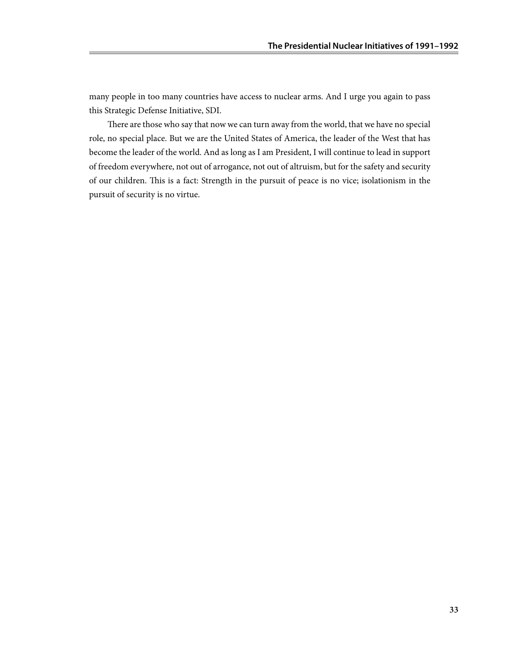many people in too many countries have access to nuclear arms. And I urge you again to pass this Strategic Defense Initiative, SDI.

There are those who say that now we can turn away from the world, that we have no special role, no special place. But we are the United States of America, the leader of the West that has become the leader of the world. And as long as I am President, I will continue to lead in support of freedom everywhere, not out of arrogance, not out of altruism, but for the safety and security of our children. This is a fact: Strength in the pursuit of peace is no vice; isolationism in the pursuit of security is no virtue.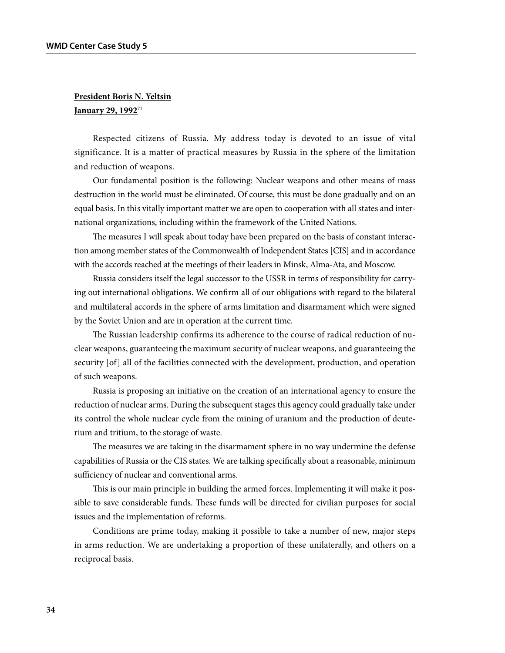#### **President Boris N. Yeltsin January 29, 1992**<sup>71</sup>

Respected citizens of Russia. My address today is devoted to an issue of vital significance. It is a matter of practical measures by Russia in the sphere of the limitation and reduction of weapons.

Our fundamental position is the following: Nuclear weapons and other means of mass destruction in the world must be eliminated. Of course, this must be done gradually and on an equal basis. In this vitally important matter we are open to cooperation with all states and international organizations, including within the framework of the United Nations.

The measures I will speak about today have been prepared on the basis of constant interaction among member states of the Commonwealth of Independent States [CIS] and in accordance with the accords reached at the meetings of their leaders in Minsk, Alma-Ata, and Moscow.

Russia considers itself the legal successor to the USSR in terms of responsibility for carrying out international obligations. We confirm all of our obligations with regard to the bilateral and multilateral accords in the sphere of arms limitation and disarmament which were signed by the Soviet Union and are in operation at the current time.

The Russian leadership confirms its adherence to the course of radical reduction of nuclear weapons, guaranteeing the maximum security of nuclear weapons, and guaranteeing the security [of] all of the facilities connected with the development, production, and operation of such weapons.

Russia is proposing an initiative on the creation of an international agency to ensure the reduction of nuclear arms. During the subsequent stages this agency could gradually take under its control the whole nuclear cycle from the mining of uranium and the production of deuterium and tritium, to the storage of waste.

The measures we are taking in the disarmament sphere in no way undermine the defense capabilities of Russia or the CIS states. We are talking specifically about a reasonable, minimum sufficiency of nuclear and conventional arms.

This is our main principle in building the armed forces. Implementing it will make it possible to save considerable funds. These funds will be directed for civilian purposes for social issues and the implementation of reforms.

Conditions are prime today, making it possible to take a number of new, major steps in arms reduction. We are undertaking a proportion of these unilaterally, and others on a reciprocal basis.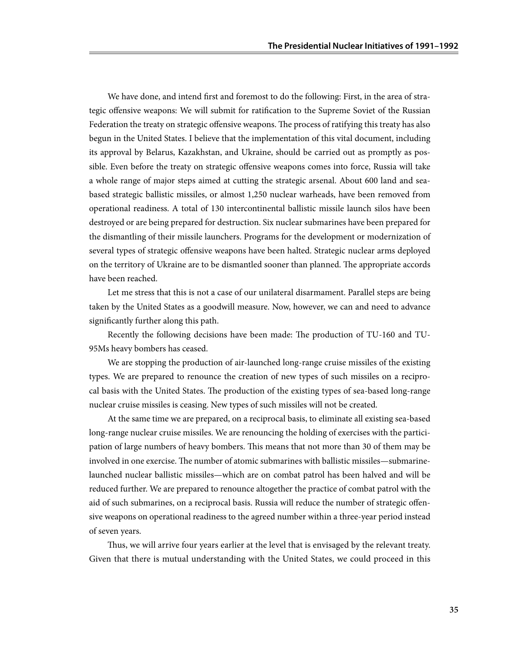We have done, and intend first and foremost to do the following: First, in the area of strategic offensive weapons: We will submit for ratification to the Supreme Soviet of the Russian Federation the treaty on strategic offensive weapons. The process of ratifying this treaty has also begun in the United States. I believe that the implementation of this vital document, including its approval by Belarus, Kazakhstan, and Ukraine, should be carried out as promptly as possible. Even before the treaty on strategic offensive weapons comes into force, Russia will take a whole range of major steps aimed at cutting the strategic arsenal. About 600 land and seabased strategic ballistic missiles, or almost 1,250 nuclear warheads, have been removed from operational readiness. A total of 130 intercontinental ballistic missile launch silos have been destroyed or are being prepared for destruction. Six nuclear submarines have been prepared for the dismantling of their missile launchers. Programs for the development or modernization of several types of strategic offensive weapons have been halted. Strategic nuclear arms deployed on the territory of Ukraine are to be dismantled sooner than planned. The appropriate accords have been reached.

Let me stress that this is not a case of our unilateral disarmament. Parallel steps are being taken by the United States as a goodwill measure. Now, however, we can and need to advance significantly further along this path.

Recently the following decisions have been made: The production of TU-160 and TU-95Ms heavy bombers has ceased.

We are stopping the production of air-launched long-range cruise missiles of the existing types. We are prepared to renounce the creation of new types of such missiles on a reciprocal basis with the United States. The production of the existing types of sea-based long-range nuclear cruise missiles is ceasing. New types of such missiles will not be created.

At the same time we are prepared, on a reciprocal basis, to eliminate all existing sea-based long-range nuclear cruise missiles. We are renouncing the holding of exercises with the participation of large numbers of heavy bombers. This means that not more than 30 of them may be involved in one exercise. The number of atomic submarines with ballistic missiles—submarinelaunched nuclear ballistic missiles—which are on combat patrol has been halved and will be reduced further. We are prepared to renounce altogether the practice of combat patrol with the aid of such submarines, on a reciprocal basis. Russia will reduce the number of strategic offensive weapons on operational readiness to the agreed number within a three-year period instead of seven years.

Thus, we will arrive four years earlier at the level that is envisaged by the relevant treaty. Given that there is mutual understanding with the United States, we could proceed in this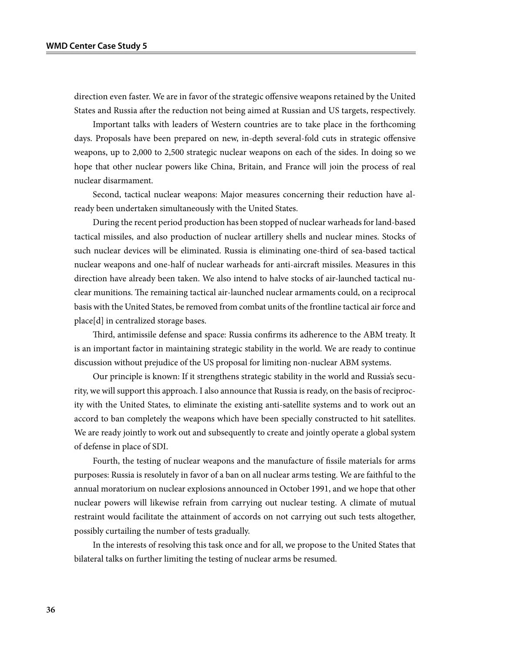direction even faster. We are in favor of the strategic offensive weapons retained by the United States and Russia after the reduction not being aimed at Russian and US targets, respectively.

Important talks with leaders of Western countries are to take place in the forthcoming days. Proposals have been prepared on new, in-depth several-fold cuts in strategic offensive weapons, up to 2,000 to 2,500 strategic nuclear weapons on each of the sides. In doing so we hope that other nuclear powers like China, Britain, and France will join the process of real nuclear disarmament.

Second, tactical nuclear weapons: Major measures concerning their reduction have already been undertaken simultaneously with the United States.

During the recent period production has been stopped of nuclear warheads for land-based tactical missiles, and also production of nuclear artillery shells and nuclear mines. Stocks of such nuclear devices will be eliminated. Russia is eliminating one-third of sea-based tactical nuclear weapons and one-half of nuclear warheads for anti-aircraft missiles. Measures in this direction have already been taken. We also intend to halve stocks of air-launched tactical nuclear munitions. The remaining tactical air-launched nuclear armaments could, on a reciprocal basis with the United States, be removed from combat units of the frontline tactical air force and place[d] in centralized storage bases.

Third, antimissile defense and space: Russia confirms its adherence to the ABM treaty. It is an important factor in maintaining strategic stability in the world. We are ready to continue discussion without prejudice of the US proposal for limiting non-nuclear ABM systems.

Our principle is known: If it strengthens strategic stability in the world and Russia's security, we will support this approach. I also announce that Russia is ready, on the basis of reciprocity with the United States, to eliminate the existing anti-satellite systems and to work out an accord to ban completely the weapons which have been specially constructed to hit satellites. We are ready jointly to work out and subsequently to create and jointly operate a global system of defense in place of SDI.

Fourth, the testing of nuclear weapons and the manufacture of fissile materials for arms purposes: Russia is resolutely in favor of a ban on all nuclear arms testing. We are faithful to the annual moratorium on nuclear explosions announced in October 1991, and we hope that other nuclear powers will likewise refrain from carrying out nuclear testing. A climate of mutual restraint would facilitate the attainment of accords on not carrying out such tests altogether, possibly curtailing the number of tests gradually.

In the interests of resolving this task once and for all, we propose to the United States that bilateral talks on further limiting the testing of nuclear arms be resumed.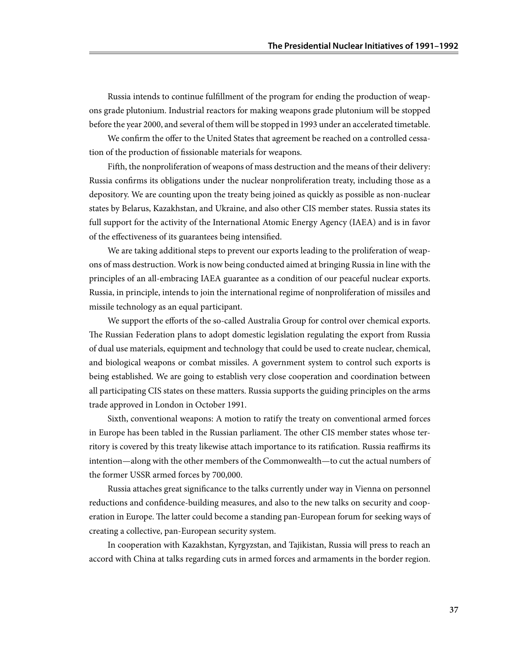Russia intends to continue fulfillment of the program for ending the production of weapons grade plutonium. Industrial reactors for making weapons grade plutonium will be stopped before the year 2000, and several of them will be stopped in 1993 under an accelerated timetable.

We confirm the offer to the United States that agreement be reached on a controlled cessation of the production of fissionable materials for weapons.

Fifth, the nonproliferation of weapons of mass destruction and the means of their delivery: Russia confirms its obligations under the nuclear nonproliferation treaty, including those as a depository. We are counting upon the treaty being joined as quickly as possible as non-nuclear states by Belarus, Kazakhstan, and Ukraine, and also other CIS member states. Russia states its full support for the activity of the International Atomic Energy Agency (IAEA) and is in favor of the effectiveness of its guarantees being intensified.

We are taking additional steps to prevent our exports leading to the proliferation of weapons of mass destruction. Work is now being conducted aimed at bringing Russia in line with the principles of an all-embracing IAEA guarantee as a condition of our peaceful nuclear exports. Russia, in principle, intends to join the international regime of nonproliferation of missiles and missile technology as an equal participant.

We support the efforts of the so-called Australia Group for control over chemical exports. The Russian Federation plans to adopt domestic legislation regulating the export from Russia of dual use materials, equipment and technology that could be used to create nuclear, chemical, and biological weapons or combat missiles. A government system to control such exports is being established. We are going to establish very close cooperation and coordination between all participating CIS states on these matters. Russia supports the guiding principles on the arms trade approved in London in October 1991.

Sixth, conventional weapons: A motion to ratify the treaty on conventional armed forces in Europe has been tabled in the Russian parliament. The other CIS member states whose territory is covered by this treaty likewise attach importance to its ratification. Russia reaffirms its intention—along with the other members of the Commonwealth—to cut the actual numbers of the former USSR armed forces by 700,000.

Russia attaches great significance to the talks currently under way in Vienna on personnel reductions and confidence-building measures, and also to the new talks on security and cooperation in Europe. The latter could become a standing pan-European forum for seeking ways of creating a collective, pan-European security system.

In cooperation with Kazakhstan, Kyrgyzstan, and Tajikistan, Russia will press to reach an accord with China at talks regarding cuts in armed forces and armaments in the border region.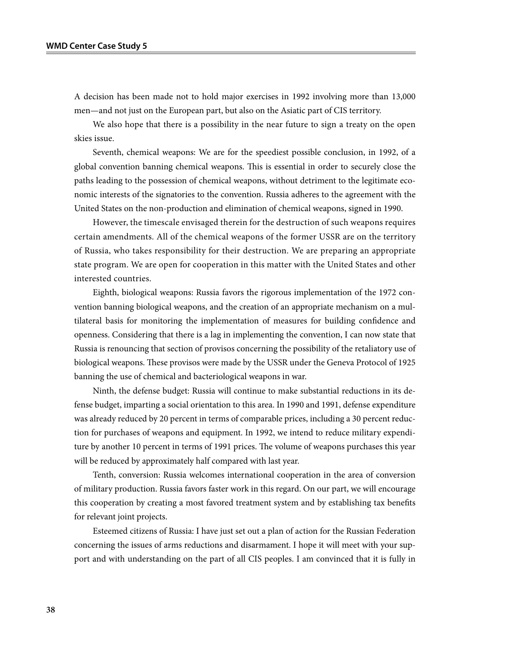A decision has been made not to hold major exercises in 1992 involving more than 13,000 men—and not just on the European part, but also on the Asiatic part of CIS territory.

We also hope that there is a possibility in the near future to sign a treaty on the open skies issue.

Seventh, chemical weapons: We are for the speediest possible conclusion, in 1992, of a global convention banning chemical weapons. This is essential in order to securely close the paths leading to the possession of chemical weapons, without detriment to the legitimate economic interests of the signatories to the convention. Russia adheres to the agreement with the United States on the non-production and elimination of chemical weapons, signed in 1990.

However, the timescale envisaged therein for the destruction of such weapons requires certain amendments. All of the chemical weapons of the former USSR are on the territory of Russia, who takes responsibility for their destruction. We are preparing an appropriate state program. We are open for cooperation in this matter with the United States and other interested countries.

Eighth, biological weapons: Russia favors the rigorous implementation of the 1972 convention banning biological weapons, and the creation of an appropriate mechanism on a multilateral basis for monitoring the implementation of measures for building confidence and openness. Considering that there is a lag in implementing the convention, I can now state that Russia is renouncing that section of provisos concerning the possibility of the retaliatory use of biological weapons. These provisos were made by the USSR under the Geneva Protocol of 1925 banning the use of chemical and bacteriological weapons in war.

Ninth, the defense budget: Russia will continue to make substantial reductions in its defense budget, imparting a social orientation to this area. In 1990 and 1991, defense expenditure was already reduced by 20 percent in terms of comparable prices, including a 30 percent reduction for purchases of weapons and equipment. In 1992, we intend to reduce military expenditure by another 10 percent in terms of 1991 prices. The volume of weapons purchases this year will be reduced by approximately half compared with last year.

Tenth, conversion: Russia welcomes international cooperation in the area of conversion of military production. Russia favors faster work in this regard. On our part, we will encourage this cooperation by creating a most favored treatment system and by establishing tax benefits for relevant joint projects.

Esteemed citizens of Russia: I have just set out a plan of action for the Russian Federation concerning the issues of arms reductions and disarmament. I hope it will meet with your support and with understanding on the part of all CIS peoples. I am convinced that it is fully in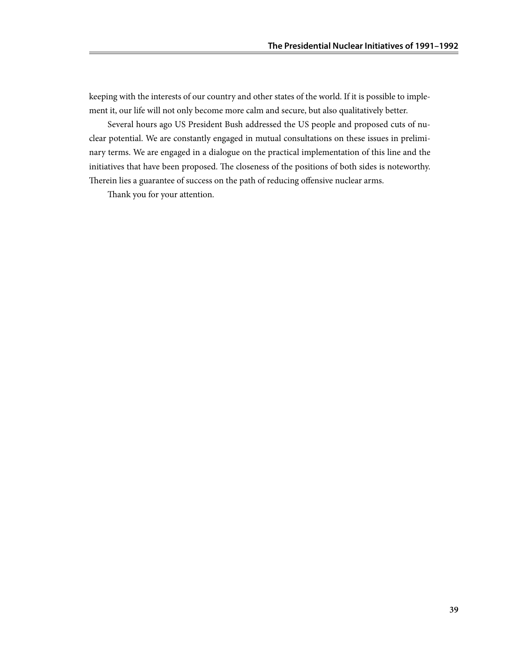keeping with the interests of our country and other states of the world. If it is possible to implement it, our life will not only become more calm and secure, but also qualitatively better.

Several hours ago US President Bush addressed the US people and proposed cuts of nuclear potential. We are constantly engaged in mutual consultations on these issues in preliminary terms. We are engaged in a dialogue on the practical implementation of this line and the initiatives that have been proposed. The closeness of the positions of both sides is noteworthy. Therein lies a guarantee of success on the path of reducing offensive nuclear arms.

Thank you for your attention.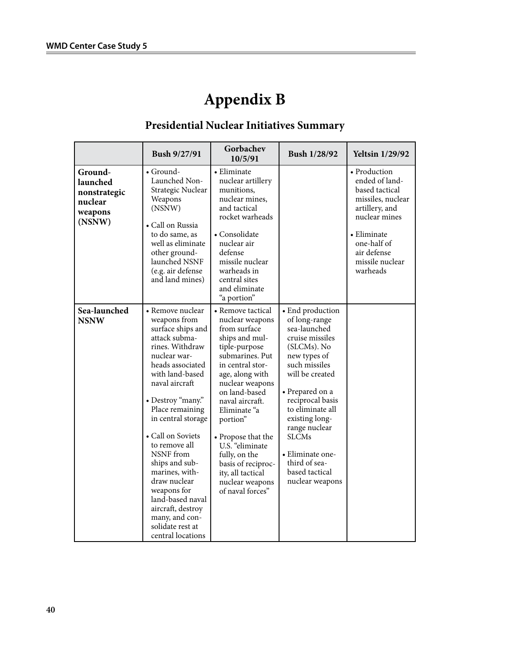# **Appendix B**

### **Presidential Nuclear Initiatives Summary**

|                                                                     | <b>Bush 9/27/91</b>                                                                                                                                                                                                                                                                                                                                                                                                                                        | Gorbachev<br>10/5/91                                                                                                                                                                                                                                                                                                                                                             | Bush 1/28/92                                                                                                                                                                                                                                                                                                             | <b>Yeltsin 1/29/92</b>                                                                                                                                                               |
|---------------------------------------------------------------------|------------------------------------------------------------------------------------------------------------------------------------------------------------------------------------------------------------------------------------------------------------------------------------------------------------------------------------------------------------------------------------------------------------------------------------------------------------|----------------------------------------------------------------------------------------------------------------------------------------------------------------------------------------------------------------------------------------------------------------------------------------------------------------------------------------------------------------------------------|--------------------------------------------------------------------------------------------------------------------------------------------------------------------------------------------------------------------------------------------------------------------------------------------------------------------------|--------------------------------------------------------------------------------------------------------------------------------------------------------------------------------------|
| Ground-<br>launched<br>nonstrategic<br>nuclear<br>weapons<br>(NSNW) | $\bullet$ Ground-<br>Launched Non-<br>Strategic Nuclear<br>Weapons<br>(NSNW)<br>• Call on Russia<br>to do same, as<br>well as eliminate<br>other ground-<br>launched NSNF<br>(e.g. air defense<br>and land mines)                                                                                                                                                                                                                                          | • Eliminate<br>nuclear artillery<br>munitions,<br>nuclear mines,<br>and tactical<br>rocket warheads<br>• Consolidate<br>nuclear air<br>defense<br>missile nuclear<br>warheads in<br>central sites<br>and eliminate<br>"a portion"                                                                                                                                                |                                                                                                                                                                                                                                                                                                                          | • Production<br>ended of land-<br>based tactical<br>missiles, nuclear<br>artillery, and<br>nuclear mines<br>• Eliminate<br>one-half of<br>air defense<br>missile nuclear<br>warheads |
| Sea-launched<br><b>NSNW</b>                                         | • Remove nuclear<br>weapons from<br>surface ships and<br>attack subma-<br>rines. Withdraw<br>nuclear war-<br>heads associated<br>with land-based<br>naval aircraft<br>• Destroy "many."<br>Place remaining<br>in central storage<br>• Call on Soviets<br>to remove all<br>NSNF from<br>ships and sub-<br>marines, with-<br>draw nuclear<br>weapons for<br>land-based naval<br>aircraft, destroy<br>many, and con-<br>solidate rest at<br>central locations | • Remove tactical<br>nuclear weapons<br>from surface<br>ships and mul-<br>tiple-purpose<br>submarines. Put<br>in central stor-<br>age, along with<br>nuclear weapons<br>on land-based<br>naval aircraft.<br>Eliminate "a<br>portion"<br>• Propose that the<br>U.S. "eliminate<br>fully, on the<br>basis of reciproc-<br>ity, all tactical<br>nuclear weapons<br>of naval forces" | • End production<br>of long-range<br>sea-launched<br>cruise missiles<br>(SLCMs). No<br>new types of<br>such missiles<br>will be created<br>• Prepared on a<br>reciprocal basis<br>to eliminate all<br>existing long-<br>range nuclear<br>SLCMs<br>• Eliminate one-<br>third of sea-<br>based tactical<br>nuclear weapons |                                                                                                                                                                                      |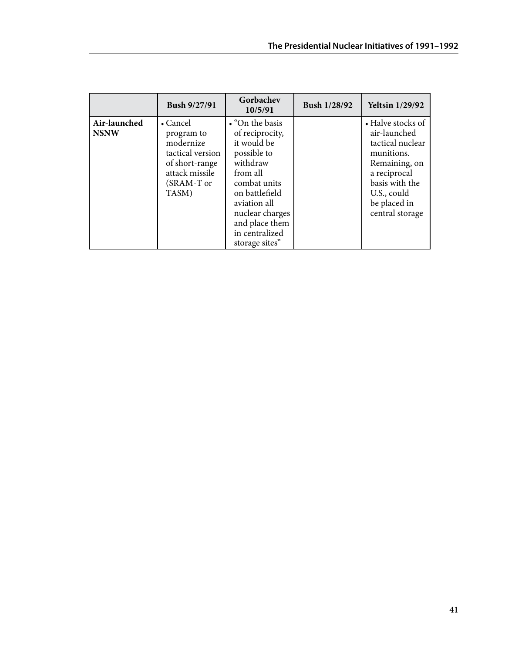|                             | <b>Bush 9/27/91</b>                                                                                                | Gorbachev<br>10/5/91                                                                                                                                                                                                | Bush 1/28/92 | <b>Yeltsin 1/29/92</b>                                                                                                                                                   |
|-----------------------------|--------------------------------------------------------------------------------------------------------------------|---------------------------------------------------------------------------------------------------------------------------------------------------------------------------------------------------------------------|--------------|--------------------------------------------------------------------------------------------------------------------------------------------------------------------------|
| Air-launched<br><b>NSNW</b> | • Cancel<br>program to<br>modernize<br>tactical version<br>of short-range<br>attack missile<br>(SRAM-T or<br>TASM) | • "On the basis<br>of reciprocity,<br>it would be<br>possible to<br>withdraw<br>from all<br>combat units<br>on battlefield<br>aviation all<br>nuclear charges<br>and place them<br>in centralized<br>storage sites" |              | • Halve stocks of<br>air-launched<br>tactical nuclear<br>munitions.<br>Remaining, on<br>a reciprocal<br>basis with the<br>U.S., could<br>be placed in<br>central storage |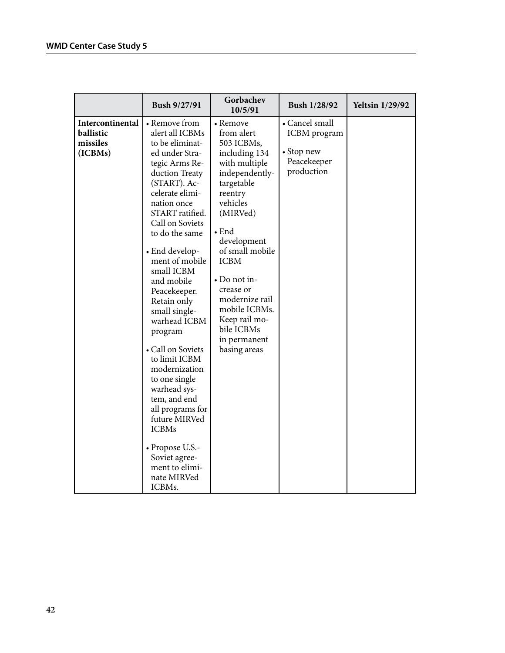|                                                      | Bush 9/27/91                                                                                                                                                                                                                                                                                                                                                                                                                                                                                                                                                                                               | Gorbachev<br>10/5/91                                                                                                                                                                                                                                                                                                               | Bush 1/28/92                                                              | <b>Yeltsin 1/29/92</b> |
|------------------------------------------------------|------------------------------------------------------------------------------------------------------------------------------------------------------------------------------------------------------------------------------------------------------------------------------------------------------------------------------------------------------------------------------------------------------------------------------------------------------------------------------------------------------------------------------------------------------------------------------------------------------------|------------------------------------------------------------------------------------------------------------------------------------------------------------------------------------------------------------------------------------------------------------------------------------------------------------------------------------|---------------------------------------------------------------------------|------------------------|
| Intercontinental<br>ballistic<br>missiles<br>(ICBMs) | • Remove from<br>alert all ICBMs<br>to be eliminat-<br>ed under Stra-<br>tegic Arms Re-<br>duction Treaty<br>(START). Ac-<br>celerate elimi-<br>nation once<br>START ratified.<br>Call on Soviets<br>to do the same<br>• End develop-<br>ment of mobile<br>small ICBM<br>and mobile<br>Peacekeeper.<br>Retain only<br>small single-<br>warhead ICBM<br>program<br>• Call on Soviets<br>to limit ICBM<br>modernization<br>to one single<br>warhead sys-<br>tem, and end<br>all programs for<br>future MIRVed<br><b>ICBMs</b><br>• Propose U.S.-<br>Soviet agree-<br>ment to elimi-<br>nate MIRVed<br>ICBMs. | • Remove<br>from alert<br>503 ICBMs,<br>including 134<br>with multiple<br>independently-<br>targetable<br>reentry<br>vehicles<br>(MIRVed)<br>• End<br>development<br>of small mobile<br><b>ICBM</b><br>• Do not in-<br>crease or<br>modernize rail<br>mobile ICBMs.<br>Keep rail mo-<br>bile ICBMs<br>in permanent<br>basing areas | • Cancel small<br>ICBM program<br>• Stop new<br>Peacekeeper<br>production |                        |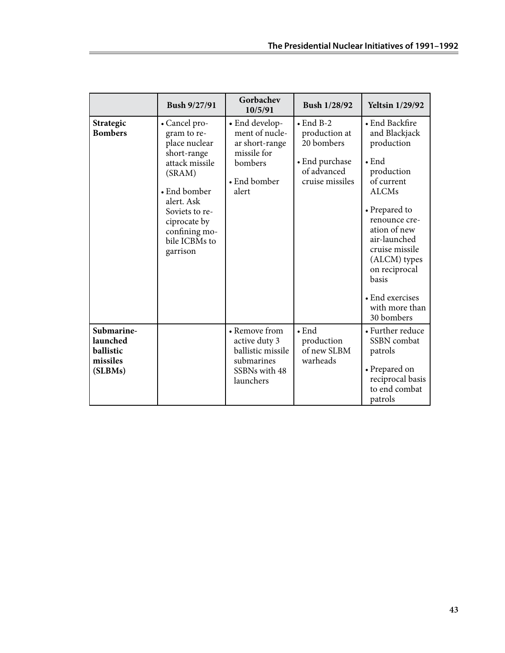|                                                            | <b>Bush 9/27/91</b>                                                                                                                                                                                    | Gorbachev<br>10/5/91                                                                                  | Bush 1/28/92                                                                                         | <b>Yeltsin 1/29/92</b>                                                                                                                                                                                                                                                                      |
|------------------------------------------------------------|--------------------------------------------------------------------------------------------------------------------------------------------------------------------------------------------------------|-------------------------------------------------------------------------------------------------------|------------------------------------------------------------------------------------------------------|---------------------------------------------------------------------------------------------------------------------------------------------------------------------------------------------------------------------------------------------------------------------------------------------|
| Strategic<br><b>Bombers</b>                                | • Cancel pro-<br>gram to re-<br>place nuclear<br>short-range<br>attack missile<br>(SRAM)<br>• End bomber<br>alert. Ask<br>Soviets to re-<br>ciprocate by<br>confining mo-<br>bile ICBMs to<br>garrison | • End develop-<br>ment of nucle-<br>ar short-range<br>missile for<br>bombers<br>• End bomber<br>alert | $\bullet$ End B-2<br>production at<br>20 bombers<br>• End purchase<br>of advanced<br>cruise missiles | • End Backfire<br>and Blackjack<br>production<br>$\bullet$ End<br>production<br>of current<br><b>ALCMs</b><br>• Prepared to<br>renounce cre-<br>ation of new<br>air-launched<br>cruise missile<br>(ALCM) types<br>on reciprocal<br>hasis<br>• End exercises<br>with more than<br>30 bombers |
| Submarine-<br>launched<br>ballistic<br>missiles<br>(SLBMs) |                                                                                                                                                                                                        | • Remove from<br>active duty 3<br>ballistic missile<br>submarines<br>SSBNs with 48<br>launchers       | $\bullet$ End<br>production<br>of new SLBM<br>warheads                                               | • Further reduce<br>SSBN combat<br>patrols<br>• Prepared on<br>reciprocal basis<br>to end combat<br>patrols                                                                                                                                                                                 |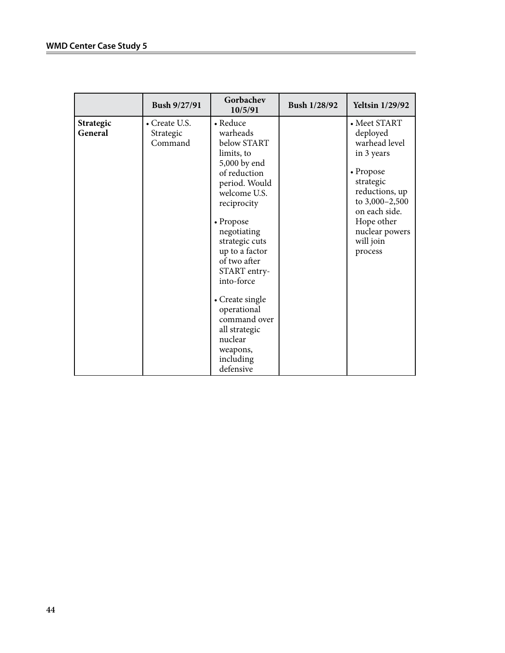|                      | Bush 9/27/91                                  | Gorbachev<br>10/5/91                                                                                                                                                                                                                                                                                                                                                | Bush 1/28/92 | <b>Yeltsin 1/29/92</b>                                                                                                                                                                         |
|----------------------|-----------------------------------------------|---------------------------------------------------------------------------------------------------------------------------------------------------------------------------------------------------------------------------------------------------------------------------------------------------------------------------------------------------------------------|--------------|------------------------------------------------------------------------------------------------------------------------------------------------------------------------------------------------|
| Strategic<br>General | $\bullet$ Create U.S.<br>Strategic<br>Command | • Reduce<br>warheads<br>below START<br>limits, to<br>5,000 by end<br>of reduction<br>period. Would<br>welcome U.S.<br>reciprocity<br>• Propose<br>negotiating<br>strategic cuts<br>up to a factor<br>of two after<br>START entry-<br>into-force<br>• Create single<br>operational<br>command over<br>all strategic<br>nuclear<br>weapons,<br>including<br>defensive |              | • Meet START<br>deployed<br>warhead level<br>in 3 years<br>• Propose<br>strategic<br>reductions, up<br>to 3,000-2,500<br>on each side.<br>Hope other<br>nuclear powers<br>will join<br>process |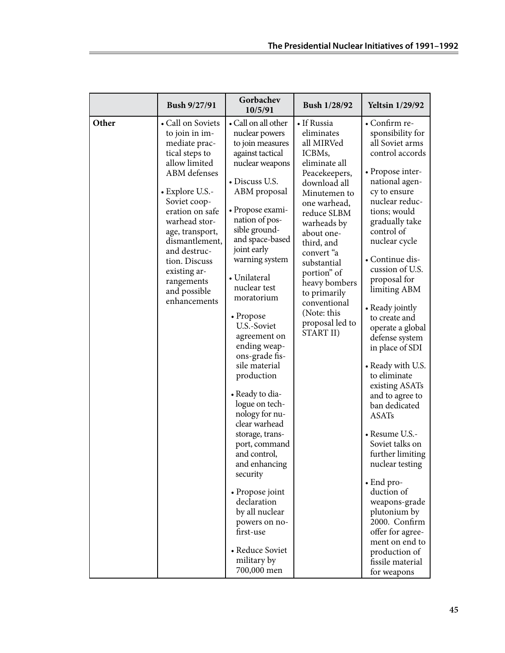|       | Bush 9/27/91                                                                                                                                                                                                                                                                                                       | Gorbachev<br>10/5/91                                                                                                                                                                                                                                                                                                                                                                                                                                                                                                                                                                                                                                                                                 | Bush 1/28/92                                                                                                                                                                                                                                                                                                                              | <b>Yeltsin 1/29/92</b>                                                                                                                                                                                                                                                                                                                                                                                                                                                                                                                                                                                                                                                                                                                                     |
|-------|--------------------------------------------------------------------------------------------------------------------------------------------------------------------------------------------------------------------------------------------------------------------------------------------------------------------|------------------------------------------------------------------------------------------------------------------------------------------------------------------------------------------------------------------------------------------------------------------------------------------------------------------------------------------------------------------------------------------------------------------------------------------------------------------------------------------------------------------------------------------------------------------------------------------------------------------------------------------------------------------------------------------------------|-------------------------------------------------------------------------------------------------------------------------------------------------------------------------------------------------------------------------------------------------------------------------------------------------------------------------------------------|------------------------------------------------------------------------------------------------------------------------------------------------------------------------------------------------------------------------------------------------------------------------------------------------------------------------------------------------------------------------------------------------------------------------------------------------------------------------------------------------------------------------------------------------------------------------------------------------------------------------------------------------------------------------------------------------------------------------------------------------------------|
| Other | • Call on Soviets<br>to join in im-<br>mediate prac-<br>tical steps to<br>allow limited<br>ABM defenses<br>• Explore U.S.-<br>Soviet coop-<br>eration on safe<br>warhead stor-<br>age, transport,<br>dismantlement,<br>and destruc-<br>tion. Discuss<br>existing ar-<br>rangements<br>and possible<br>enhancements | • Call on all other<br>nuclear powers<br>to join measures<br>against tactical<br>nuclear weapons<br>· Discuss U.S.<br>ABM proposal<br>• Propose exami-<br>nation of pos-<br>sible ground-<br>and space-based<br>joint early<br>warning system<br>• Unilateral<br>nuclear test<br>moratorium<br>• Propose<br>U.S.-Soviet<br>agreement on<br>ending weap-<br>ons-grade fis-<br>sile material<br>production<br>• Ready to dia-<br>logue on tech-<br>nology for nu-<br>clear warhead<br>storage, trans-<br>port, command<br>and control,<br>and enhancing<br>security<br>• Propose joint<br>declaration<br>by all nuclear<br>powers on no-<br>first-use<br>• Reduce Soviet<br>military by<br>700,000 men | • If Russia<br>eliminates<br>all MIRVed<br>ICBMs,<br>eliminate all<br>Peacekeepers,<br>download all<br>Minutemen to<br>one warhead,<br>reduce SLBM<br>warheads by<br>about one-<br>third, and<br>convert "a<br>substantial<br>portion" of<br>heavy bombers<br>to primarily<br>conventional<br>(Note: this<br>proposal led to<br>START II) | • Confirm re-<br>sponsibility for<br>all Soviet arms<br>control accords<br>• Propose inter-<br>national agen-<br>cy to ensure<br>nuclear reduc-<br>tions; would<br>gradually take<br>control of<br>nuclear cycle<br>• Continue dis-<br>cussion of U.S.<br>proposal for<br>limiting ABM<br>• Ready jointly<br>to create and<br>operate a global<br>defense system<br>in place of SDI<br>• Ready with U.S.<br>to eliminate<br>existing ASATs<br>and to agree to<br>ban dedicated<br><b>ASATs</b><br>• Resume U.S.-<br>Soviet talks on<br>further limiting<br>nuclear testing<br>$\bullet$ End pro-<br>duction of<br>weapons-grade<br>plutonium by<br>2000. Confirm<br>offer for agree-<br>ment on end to<br>production of<br>fissile material<br>for weapons |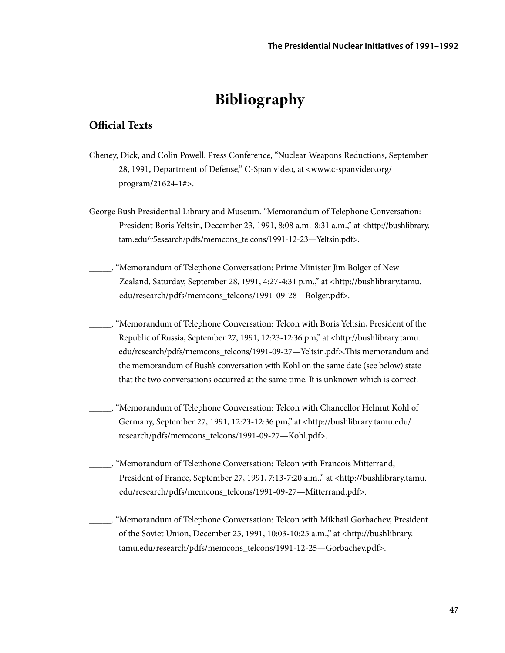## **Bibliography**

#### **Official Texts**

- Cheney, Dick, and Colin Powell. Press Conference, "Nuclear Weapons Reductions, September 28, 1991, Department of Defense," C-Span video, at <www.c-spanvideo.org/ program/21624-1#>.
- George Bush Presidential Library and Museum. "Memorandum of Telephone Conversation: President Boris Yeltsin, December 23, 1991, 8:08 a.m.-8:31 a.m.," at <http://bushlibrary. tam.edu/r5esearch/pdfs/memcons\_telcons/1991-12-23—Yeltsin.pdf>.
- \_\_\_\_\_. "Memorandum of Telephone Conversation: Prime Minister Jim Bolger of New Zealand, Saturday, September 28, 1991, 4:27-4:31 p.m.," at <http://bushlibrary.tamu. edu/research/pdfs/memcons\_telcons/1991-09-28—Bolger.pdf>.
- \_\_\_\_\_. "Memorandum of Telephone Conversation: Telcon with Boris Yeltsin, President of the Republic of Russia, September 27, 1991, 12:23-12:36 pm," at <http://bushlibrary.tamu. edu/research/pdfs/memcons\_telcons/1991-09-27—Yeltsin.pdf>.This memorandum and the memorandum of Bush's conversation with Kohl on the same date (see below) state that the two conversations occurred at the same time. It is unknown which is correct.
- \_\_\_\_\_. "Memorandum of Telephone Conversation: Telcon with Chancellor Helmut Kohl of Germany, September 27, 1991, 12:23-12:36 pm," at <http://bushlibrary.tamu.edu/ research/pdfs/memcons\_telcons/1991-09-27—Kohl.pdf>.
- \_\_\_\_\_. "Memorandum of Telephone Conversation: Telcon with Francois Mitterrand, President of France, September 27, 1991, 7:13-7:20 a.m.," at <http://bushlibrary.tamu. edu/research/pdfs/memcons\_telcons/1991-09-27—Mitterrand.pdf>.
- \_\_\_\_\_. "Memorandum of Telephone Conversation: Telcon with Mikhail Gorbachev, President of the Soviet Union, December 25, 1991, 10:03-10:25 a.m.," at <http://bushlibrary. tamu.edu/research/pdfs/memcons\_telcons/1991-12-25—Gorbachev.pdf>.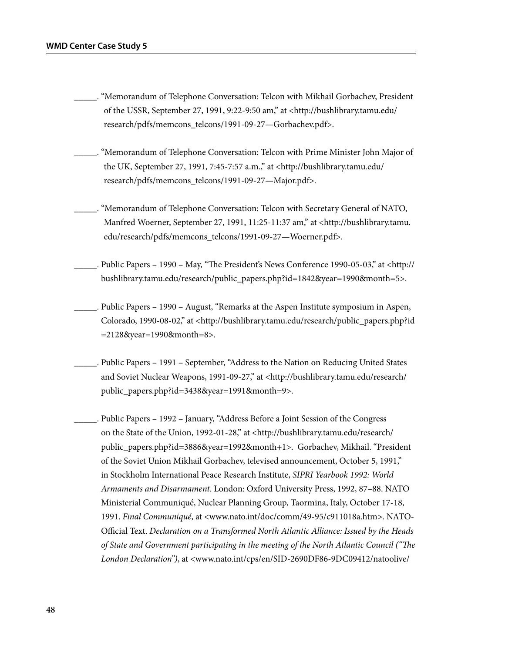- \_\_\_\_\_. "Memorandum of Telephone Conversation: Telcon with Mikhail Gorbachev, President of the USSR, September 27, 1991, 9:22-9:50 am," at <http://bushlibrary.tamu.edu/ research/pdfs/memcons\_telcons/1991-09-27—Gorbachev.pdf>.
- \_\_\_\_\_. "Memorandum of Telephone Conversation: Telcon with Prime Minister John Major of the UK, September 27, 1991, 7:45-7:57 a.m.," at <http://bushlibrary.tamu.edu/ research/pdfs/memcons\_telcons/1991-09-27—Major.pdf>.
- \_\_\_\_\_. "Memorandum of Telephone Conversation: Telcon with Secretary General of NATO, Manfred Woerner, September 27, 1991, 11:25-11:37 am," at <http://bushlibrary.tamu. edu/research/pdfs/memcons\_telcons/1991-09-27—Woerner.pdf>.
- \_\_\_\_\_. Public Papers 1990 May, "The President's News Conference 1990-05-03," at <http:// bushlibrary.tamu.edu/research/public\_papers.php?id=1842&year=1990&month=5>.
- \_\_\_\_\_. Public Papers 1990 August, "Remarks at the Aspen Institute symposium in Aspen, Colorado, 1990-08-02," at <http://bushlibrary.tamu.edu/research/public\_papers.php?id =2128&year=1990&month=8>.
- \_\_\_\_\_. Public Papers 1991 September, "Address to the Nation on Reducing United States and Soviet Nuclear Weapons, 1991-09-27," at <http://bushlibrary.tamu.edu/research/ public\_papers.php?id=3438&year=1991&month=9>.

\_\_\_\_\_. Public Papers – 1992 – January, "Address Before a Joint Session of the Congress on the State of the Union, 1992-01-28," at <http://bushlibrary.tamu.edu/research/ public\_papers.php?id=3886&year=1992&month+1>. Gorbachev, Mikhail. "President of the Soviet Union Mikhail Gorbachev, televised announcement, October 5, 1991," in Stockholm International Peace Research Institute, *SIPRI Yearbook 1992: World Armaments and Disarmament*. London: Oxford University Press, 1992, 87–88. NATO Ministerial Communiqué, Nuclear Planning Group, Taormina, Italy, October 17-18, 1991. *Final Communiqué*, at <www.nato.int/doc/comm/49-95/c911018a.htm>. NATO-Official Text. *Declaration on a Transformed North Atlantic Alliance: Issued by the Heads of State and Government participating in the meeting of the North Atlantic Council ("The London Declaration")*, at <www.nato.int/cps/en/SID-2690DF86-9DC09412/natoolive/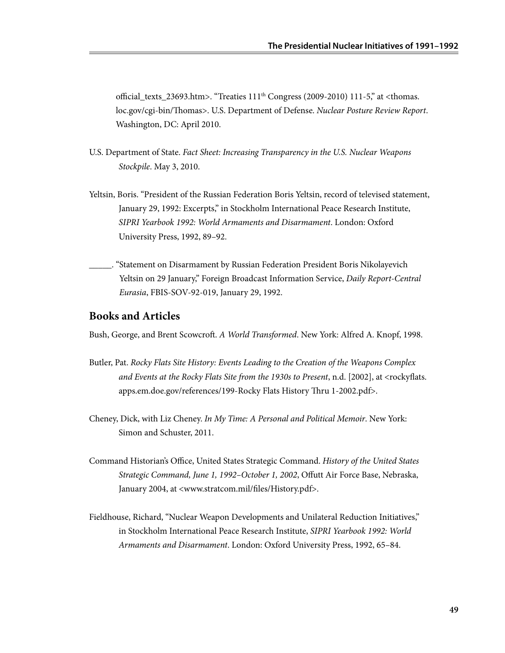official\_texts\_23693.htm>. "Treaties 111th Congress (2009-2010) 111-5," at <thomas. loc.gov/cgi-bin/Thomas>. U.S. Department of Defense. *Nuclear Posture Review Report*. Washington, DC: April 2010.

- U.S. Department of State. *Fact Sheet: Increasing Transparency in the U.S. Nuclear Weapons Stockpile*. May 3, 2010.
- Yeltsin, Boris. "President of the Russian Federation Boris Yeltsin, record of televised statement, January 29, 1992: Excerpts," in Stockholm International Peace Research Institute, *SIPRI Yearbook 1992: World Armaments and Disarmament*. London: Oxford University Press, 1992, 89–92.
- \_\_\_\_\_. "Statement on Disarmament by Russian Federation President Boris Nikolayevich Yeltsin on 29 January," Foreign Broadcast Information Service, *Daily Report-Central Eurasia*, FBIS-SOV-92-019, January 29, 1992.

#### **Books and Articles**

Bush, George, and Brent Scowcroft. *A World Transformed*. New York: Alfred A. Knopf, 1998.

- Butler, Pat. *Rocky Flats Site History: Events Leading to the Creation of the Weapons Complex and Events at the Rocky Flats Site from the 1930s to Present*, n.d. [2002], at <rockyflats. apps.em.doe.gov/references/199-Rocky Flats History Thru 1-2002.pdf>.
- Cheney, Dick, with Liz Cheney. *In My Time: A Personal and Political Memoir*. New York: Simon and Schuster, 2011.
- Command Historian's Office, United States Strategic Command. *History of the United States Strategic Command, June 1, 1992–October 1, 2002*, Offutt Air Force Base, Nebraska, January 2004, at <www.stratcom.mil/files/History.pdf>.
- Fieldhouse, Richard, "Nuclear Weapon Developments and Unilateral Reduction Initiatives," in Stockholm International Peace Research Institute, *SIPRI Yearbook 1992: World Armaments and Disarmament*. London: Oxford University Press, 1992, 65–84.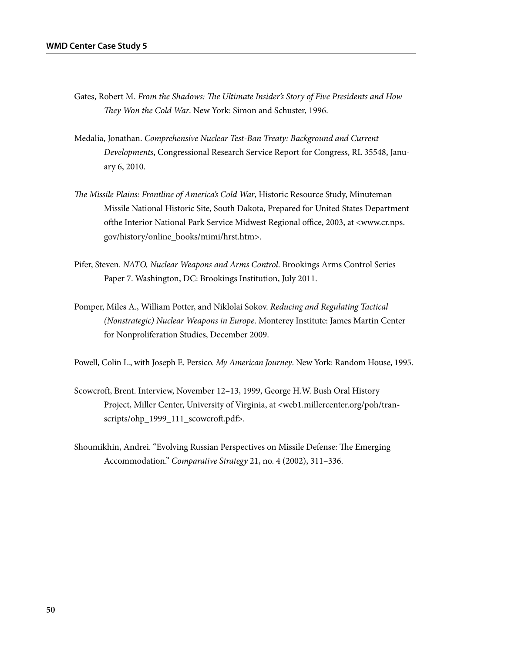- Gates, Robert M. *From the Shadows: The Ultimate Insider's Story of Five Presidents and How They Won the Cold War*. New York: Simon and Schuster, 1996.
- Medalia, Jonathan. *Comprehensive Nuclear Test-Ban Treaty: Background and Current Developments*, Congressional Research Service Report for Congress, RL 35548, January 6, 2010.
- *The Missile Plains: Frontline of America's Cold War*, Historic Resource Study, Minuteman Missile National Historic Site, South Dakota, Prepared for United States Department ofthe Interior National Park Service Midwest Regional office, 2003, at <www.cr.nps. gov/history/online\_books/mimi/hrst.htm>.
- Pifer, Steven. *NATO, Nuclear Weapons and Arms Control*. Brookings Arms Control Series Paper 7. Washington, DC: Brookings Institution, July 2011.
- Pomper, Miles A., William Potter, and Niklolai Sokov. *Reducing and Regulating Tactical (Nonstrategic) Nuclear Weapons in Europe*. Monterey Institute: James Martin Center for Nonproliferation Studies, December 2009.
- Powell, Colin L., with Joseph E. Persico. *My American Journey*. New York: Random House, 1995.
- Scowcroft, Brent. Interview, November 12–13, 1999, George H.W. Bush Oral History Project, Miller Center, University of Virginia, at <web1.millercenter.org/poh/transcripts/ohp\_1999\_111\_scowcroft.pdf>.
- Shoumikhin, Andrei. "Evolving Russian Perspectives on Missile Defense: The Emerging Accommodation." *Comparative Strategy* 21, no. 4 (2002), 311–336.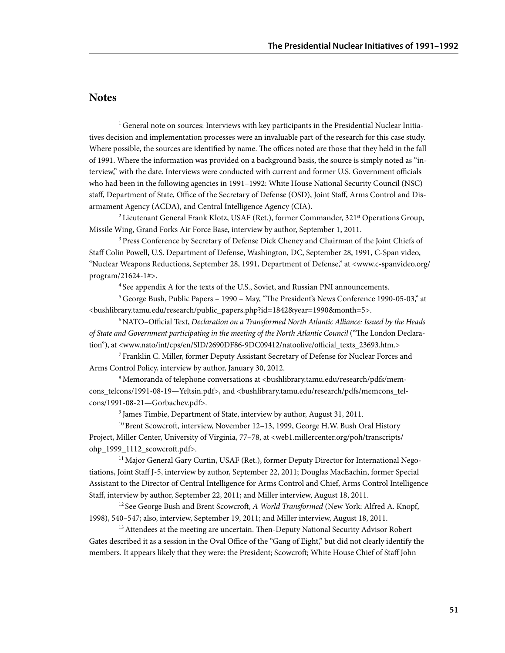#### **Notes**

 $<sup>1</sup>$  General note on sources: Interviews with key participants in the Presidential Nuclear Initia-</sup> tives decision and implementation processes were an invaluable part of the research for this case study. Where possible, the sources are identified by name. The offices noted are those that they held in the fall of 1991. Where the information was provided on a background basis, the source is simply noted as "interview," with the date. Interviews were conducted with current and former U.S. Government officials who had been in the following agencies in 1991–1992: White House National Security Council (NSC) staff, Department of State, Office of the Secretary of Defense (OSD), Joint Staff, Arms Control and Disarmament Agency (ACDA), and Central Intelligence Agency (CIA).

<sup>2</sup> Lieutenant General Frank Klotz, USAF (Ret.), former Commander, 321<sup>st</sup> Operations Group, Missile Wing, Grand Forks Air Force Base, interview by author, September 1, 2011.

<sup>3</sup> Press Conference by Secretary of Defense Dick Cheney and Chairman of the Joint Chiefs of Staff Colin Powell, U.S. Department of Defense, Washington, DC, September 28, 1991, C-Span video, "Nuclear Weapons Reductions, September 28, 1991, Department of Defense," at <www.c-spanvideo.org/ program/21624-1#>.

<sup>4</sup> See appendix A for the texts of the U.S., Soviet, and Russian PNI announcements.

5 George Bush, Public Papers – 1990 – May, "The President's News Conference 1990-05-03," at <bushlibrary.tamu.edu/research/public\_papers.php?id=1842&year=1990&month=5>.

6 NATO–Official Text, *Declaration on a Transformed North Atlantic Alliance: Issued by the Heads of State and Government participating in the meeting of the North Atlantic Council* ("The London Declaration"), at <www.nato/int/cps/en/SID/2690DF86-9DC09412/natoolive/official\_texts\_23693.htm.>

7 Franklin C. Miller, former Deputy Assistant Secretary of Defense for Nuclear Forces and Arms Control Policy, interview by author, January 30, 2012.

8 Memoranda of telephone conversations at <bushlibrary.tamu.edu/research/pdfs/memcons\_telcons/1991-08-19—Yeltsin.pdf>, and <bushlibrary.tamu.edu/research/pdfs/memcons\_telcons/1991-08-21—Gorbachev.pdf>.

9 James Timbie, Department of State, interview by author, August 31, 2011.

<sup>10</sup> Brent Scowcroft, interview, November 12-13, 1999, George H.W. Bush Oral History Project, Miller Center, University of Virginia, 77–78, at <web1.millercenter.org/poh/transcripts/ ohp\_1999\_1112\_scowcroft.pdf>.

 $<sup>11</sup>$  Major General Gary Curtin, USAF (Ret.), former Deputy Director for International Nego-</sup> tiations, Joint Staff J-5, interview by author, September 22, 2011; Douglas MacEachin, former Special Assistant to the Director of Central Intelligence for Arms Control and Chief, Arms Control Intelligence Staff, interview by author, September 22, 2011; and Miller interview, August 18, 2011.

12 See George Bush and Brent Scowcroft, *A World Transformed* (New York: Alfred A. Knopf, 1998), 540–547; also, interview, September 19, 2011; and Miller interview, August 18, 2011.

<sup>13</sup> Attendees at the meeting are uncertain. Then-Deputy National Security Advisor Robert Gates described it as a session in the Oval Office of the "Gang of Eight," but did not clearly identify the members. It appears likely that they were: the President; Scowcroft; White House Chief of Staff John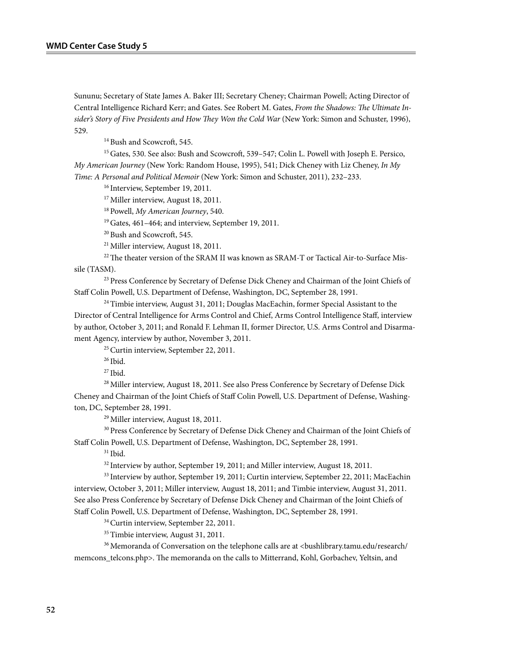Sununu; Secretary of State James A. Baker III; Secretary Cheney; Chairman Powell; Acting Director of Central Intelligence Richard Kerr; and Gates. See Robert M. Gates, *From the Shadows: The Ultimate Insider's Story of Five Presidents and How They Won the Cold War* (New York: Simon and Schuster, 1996), 529.

<sup>14</sup> Bush and Scowcroft, 545.

<sup>15</sup> Gates, 530. See also: Bush and Scowcroft, 539-547; Colin L. Powell with Joseph E. Persico, *My American Journey* (New York: Random House, 1995), 541; Dick Cheney with Liz Cheney, *In My Time: A Personal and Political Memoir* (New York: Simon and Schuster, 2011), 232–233.

16 Interview, September 19, 2011.

<sup>17</sup> Miller interview, August 18, 2011.

18 Powell, *My American Journey*, 540.

19 Gates, 461–464; and interview, September 19, 2011.

20 Bush and Scowcroft, 545.

<sup>21</sup> Miller interview, August 18, 2011.

<sup>22</sup> The theater version of the SRAM II was known as SRAM-T or Tactical Air-to-Surface Missile (TASM).

<sup>23</sup> Press Conference by Secretary of Defense Dick Cheney and Chairman of the Joint Chiefs of Staff Colin Powell, U.S. Department of Defense, Washington, DC, September 28, 1991.

<sup>24</sup> Timbie interview, August 31, 2011; Douglas MacEachin, former Special Assistant to the Director of Central Intelligence for Arms Control and Chief, Arms Control Intelligence Staff, interview by author, October 3, 2011; and Ronald F. Lehman II, former Director, U.S. Arms Control and Disarmament Agency, interview by author, November 3, 2011.

<sup>25</sup> Curtin interview, September 22, 2011.

 $26$  Ibid.

 $27$  Ibid.

<sup>28</sup> Miller interview, August 18, 2011. See also Press Conference by Secretary of Defense Dick Cheney and Chairman of the Joint Chiefs of Staff Colin Powell, U.S. Department of Defense, Washington, DC, September 28, 1991.

29 Miller interview, August 18, 2011.

<sup>30</sup> Press Conference by Secretary of Defense Dick Cheney and Chairman of the Joint Chiefs of Staff Colin Powell, U.S. Department of Defense, Washington, DC, September 28, 1991.

 $31$  Ibid.

<sup>32</sup> Interview by author, September 19, 2011; and Miller interview, August 18, 2011.

<sup>33</sup> Interview by author, September 19, 2011; Curtin interview, September 22, 2011; MacEachin interview, October 3, 2011; Miller interview, August 18, 2011; and Timbie interview, August 31, 2011. See also Press Conference by Secretary of Defense Dick Cheney and Chairman of the Joint Chiefs of Staff Colin Powell, U.S. Department of Defense, Washington, DC, September 28, 1991.

34 Curtin interview, September 22, 2011.

<sup>35</sup> Timbie interview, August 31, 2011.

<sup>36</sup> Memoranda of Conversation on the telephone calls are at <br/>bushlibrary.tamu.edu/research/ memcons\_telcons.php>. The memoranda on the calls to Mitterrand, Kohl, Gorbachev, Yeltsin, and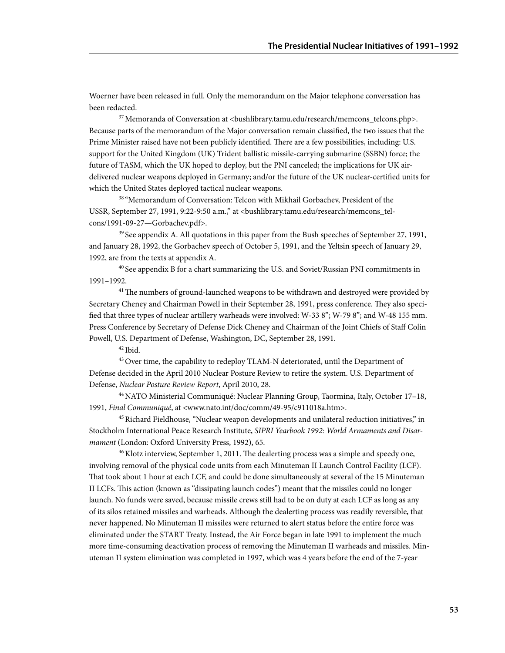Woerner have been released in full. Only the memorandum on the Major telephone conversation has been redacted.

<sup>37</sup> Memoranda of Conversation at <bushlibrary.tamu.edu/research/memcons\_telcons.php>. Because parts of the memorandum of the Major conversation remain classified, the two issues that the Prime Minister raised have not been publicly identified. There are a few possibilities, including: U.S. support for the United Kingdom (UK) Trident ballistic missile-carrying submarine (SSBN) force; the future of TASM, which the UK hoped to deploy, but the PNI canceled; the implications for UK airdelivered nuclear weapons deployed in Germany; and/or the future of the UK nuclear-certified units for which the United States deployed tactical nuclear weapons.

38 "Memorandum of Conversation: Telcon with Mikhail Gorbachev, President of the USSR, September 27, 1991, 9:22-9:50 a.m.," at <bushlibrary.tamu.edu/research/memcons\_telcons/1991-09-27—Gorbachev.pdf>.

 $39$  See appendix A. All quotations in this paper from the Bush speeches of September 27, 1991, and January 28, 1992, the Gorbachev speech of October 5, 1991, and the Yeltsin speech of January 29, 1992, are from the texts at appendix A.

40 See appendix B for a chart summarizing the U.S. and Soviet/Russian PNI commitments in 1991–1992.

 $41$  The numbers of ground-launched weapons to be withdrawn and destroyed were provided by Secretary Cheney and Chairman Powell in their September 28, 1991, press conference. They also specified that three types of nuclear artillery warheads were involved: W-33 8"; W-79 8"; and W-48 155 mm. Press Conference by Secretary of Defense Dick Cheney and Chairman of the Joint Chiefs of Staff Colin Powell, U.S. Department of Defense, Washington, DC, September 28, 1991.

42 Ibid.

<sup>43</sup> Over time, the capability to redeploy TLAM-N deteriorated, until the Department of Defense decided in the April 2010 Nuclear Posture Review to retire the system. U.S. Department of Defense, *Nuclear Posture Review Report*, April 2010, 28.

44 NATO Ministerial Communiqué: Nuclear Planning Group, Taormina, Italy, October 17–18, 1991, *Final Communiqué*, at <www.nato.int/doc/comm/49-95/c911018a.htm>.

<sup>45</sup> Richard Fieldhouse, "Nuclear weapon developments and unilateral reduction initiatives," in Stockholm International Peace Research Institute, *SIPRI Yearbook 1992: World Armaments and Disarmament* (London: Oxford University Press, 1992), 65.

<sup>46</sup> Klotz interview, September 1, 2011. The dealerting process was a simple and speedy one, involving removal of the physical code units from each Minuteman II Launch Control Facility (LCF). That took about 1 hour at each LCF, and could be done simultaneously at several of the 15 Minuteman II LCFs. This action (known as "dissipating launch codes") meant that the missiles could no longer launch. No funds were saved, because missile crews still had to be on duty at each LCF as long as any of its silos retained missiles and warheads. Although the dealerting process was readily reversible, that never happened. No Minuteman II missiles were returned to alert status before the entire force was eliminated under the START Treaty. Instead, the Air Force began in late 1991 to implement the much more time-consuming deactivation process of removing the Minuteman II warheads and missiles. Minuteman II system elimination was completed in 1997, which was 4 years before the end of the 7-year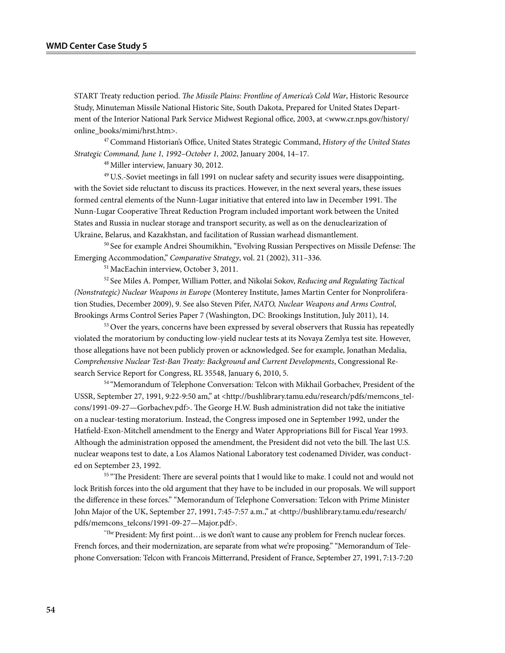START Treaty reduction period. *The Missile Plains: Frontline of America's Cold War*, Historic Resource Study, Minuteman Missile National Historic Site, South Dakota, Prepared for United States Department of the Interior National Park Service Midwest Regional office, 2003, at <www.cr.nps.gov/history/ online\_books/mimi/hrst.htm>.

47 Command Historian's Office, United States Strategic Command, *History of the United States Strategic Command, June 1, 1992–October 1, 2002*, January 2004, 14–17.

48 Miller interview, January 30, 2012.

 $49$  U.S.-Soviet meetings in fall 1991 on nuclear safety and security issues were disappointing, with the Soviet side reluctant to discuss its practices. However, in the next several years, these issues formed central elements of the Nunn-Lugar initiative that entered into law in December 1991. The Nunn-Lugar Cooperative Threat Reduction Program included important work between the United States and Russia in nuclear storage and transport security, as well as on the denuclearization of Ukraine, Belarus, and Kazakhstan, and facilitation of Russian warhead dismantlement.

50 See for example Andrei Shoumikhin, "Evolving Russian Perspectives on Missile Defense: The Emerging Accommodation," *Comparative Strategy*, vol. 21 (2002), 311–336.

51 MacEachin interview, October 3, 2011.

52 See Miles A. Pomper, William Potter, and Nikolai Sokov, *Reducing and Regulating Tactical (Nonstrategic) Nuclear Weapons in Europe* (Monterey Institute, James Martin Center for Nonproliferation Studies, December 2009), 9. See also Steven Pifer, *NATO, Nuclear Weapons and Arms Control*, Brookings Arms Control Series Paper 7 (Washington, DC: Brookings Institution, July 2011), 14.

<sup>53</sup> Over the years, concerns have been expressed by several observers that Russia has repeatedly violated the moratorium by conducting low-yield nuclear tests at its Novaya Zemlya test site. However, those allegations have not been publicly proven or acknowledged. See for example, Jonathan Medalia, *Comprehensive Nuclear Test-Ban Treaty: Background and Current Developments*, Congressional Research Service Report for Congress, RL 35548, January 6, 2010, 5.

54 "Memorandum of Telephone Conversation: Telcon with Mikhail Gorbachev, President of the USSR, September 27, 1991, 9:22-9:50 am," at <http://bushlibrary.tamu.edu/research/pdfs/memcons\_telcons/1991-09-27—Gorbachev.pdf>. The George H.W. Bush administration did not take the initiative on a nuclear-testing moratorium. Instead, the Congress imposed one in September 1992, under the Hatfield-Exon-Mitchell amendment to the Energy and Water Appropriations Bill for Fiscal Year 1993. Although the administration opposed the amendment, the President did not veto the bill. The last U.S. nuclear weapons test to date, a Los Alamos National Laboratory test codenamed Divider, was conducted on September 23, 1992.

55 "The President: There are several points that I would like to make. I could not and would not lock British forces into the old argument that they have to be included in our proposals. We will support the difference in these forces." "Memorandum of Telephone Conversation: Telcon with Prime Minister John Major of the UK, September 27, 1991, 7:45-7:57 a.m.," at <http://bushlibrary.tamu.edu/research/ pdfs/memcons\_telcons/1991-09-27—Major.pdf>.

"The President: My first point…is we don't want to cause any problem for French nuclear forces. French forces, and their modernization, are separate from what we're proposing." "Memorandum of Telephone Conversation: Telcon with Francois Mitterrand, President of France, September 27, 1991, 7:13-7:20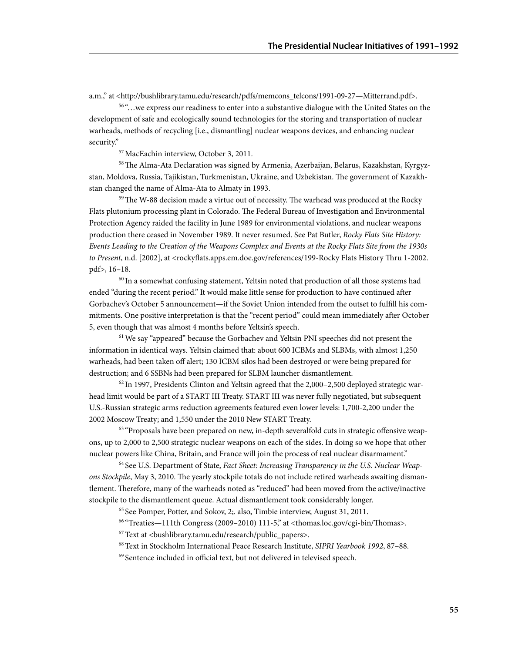a.m.," at <http://bushlibrary.tamu.edu/research/pdfs/memcons\_telcons/1991-09-27—Mitterrand.pdf>.

56 "…we express our readiness to enter into a substantive dialogue with the United States on the development of safe and ecologically sound technologies for the storing and transportation of nuclear warheads, methods of recycling [i.e., dismantling] nuclear weapons devices, and enhancing nuclear security."

57 MacEachin interview, October 3, 2011.

58 The Alma-Ata Declaration was signed by Armenia, Azerbaijan, Belarus, Kazakhstan, Kyrgyzstan, Moldova, Russia, Tajikistan, Turkmenistan, Ukraine, and Uzbekistan. The government of Kazakhstan changed the name of Alma-Ata to Almaty in 1993.

<sup>59</sup> The W-88 decision made a virtue out of necessity. The warhead was produced at the Rocky Flats plutonium processing plant in Colorado. The Federal Bureau of Investigation and Environmental Protection Agency raided the facility in June 1989 for environmental violations, and nuclear weapons production there ceased in November 1989. It never resumed. See Pat Butler, *Rocky Flats Site History: Events Leading to the Creation of the Weapons Complex and Events at the Rocky Flats Site from the 1930s to Present*, n.d. [2002], at <rockyflats.apps.em.doe.gov/references/199-Rocky Flats History Thru 1-2002. pdf>, 16–18.

<sup>60</sup> In a somewhat confusing statement, Yeltsin noted that production of all those systems had ended "during the recent period." It would make little sense for production to have continued after Gorbachev's October 5 announcement—if the Soviet Union intended from the outset to fulfill his commitments. One positive interpretation is that the "recent period" could mean immediately after October 5, even though that was almost 4 months before Yeltsin's speech.

<sup>61</sup> We say "appeared" because the Gorbachev and Yeltsin PNI speeches did not present the information in identical ways. Yeltsin claimed that: about 600 ICBMs and SLBMs, with almost 1,250 warheads, had been taken off alert; 130 ICBM silos had been destroyed or were being prepared for destruction; and 6 SSBNs had been prepared for SLBM launcher dismantlement.

 $62$  In 1997, Presidents Clinton and Yeltsin agreed that the 2,000–2,500 deployed strategic warhead limit would be part of a START III Treaty. START III was never fully negotiated, but subsequent U.S.-Russian strategic arms reduction agreements featured even lower levels: 1,700-2,200 under the 2002 Moscow Treaty; and 1,550 under the 2010 New START Treaty.

<sup>63</sup> "Proposals have been prepared on new, in-depth severalfold cuts in strategic offensive weapons, up to 2,000 to 2,500 strategic nuclear weapons on each of the sides. In doing so we hope that other nuclear powers like China, Britain, and France will join the process of real nuclear disarmament."

64 See U.S. Department of State, *Fact Sheet: Increasing Transparency in the U.S. Nuclear Weapons Stockpile*, May 3, 2010. The yearly stockpile totals do not include retired warheads awaiting dismantlement. Therefore, many of the warheads noted as "reduced" had been moved from the active/inactive stockpile to the dismantlement queue. Actual dismantlement took considerably longer.

65 See Pomper, Potter, and Sokov, 2;. also, Timbie interview, August 31, 2011.

66 "Treaties—111th Congress (2009–2010) 111-5," at <thomas.loc.gov/cgi-bin/Thomas>.

 $67$  Text at <br/> <br/> <br/>shlibrary.tamu.edu/research/public\_papers>.

68 Text in Stockholm International Peace Research Institute, *SIPRI Yearbook 1992*, 87–88.

69 Sentence included in official text, but not delivered in televised speech.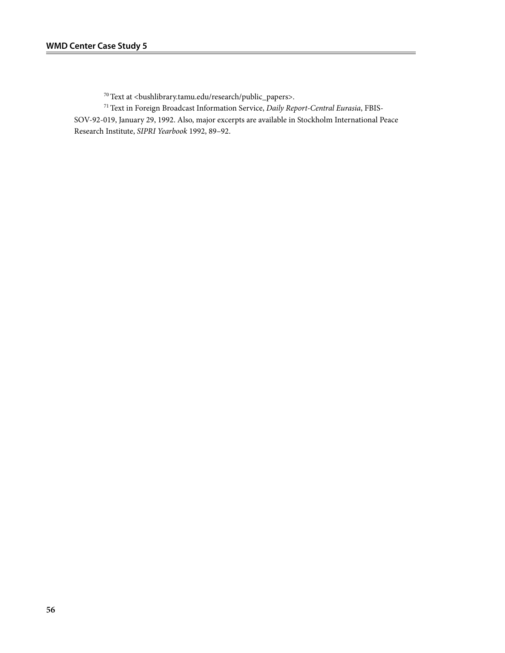$^{70}$  Text at <br/>  $<$ bushlibrary.tamu.edu/research/public\_papers>.

71 Text in Foreign Broadcast Information Service, *Daily Report-Central Eurasia*, FBIS-SOV-92-019, January 29, 1992. Also, major excerpts are available in Stockholm International Peace Research Institute, *SIPRI Yearbook* 1992, 89–92.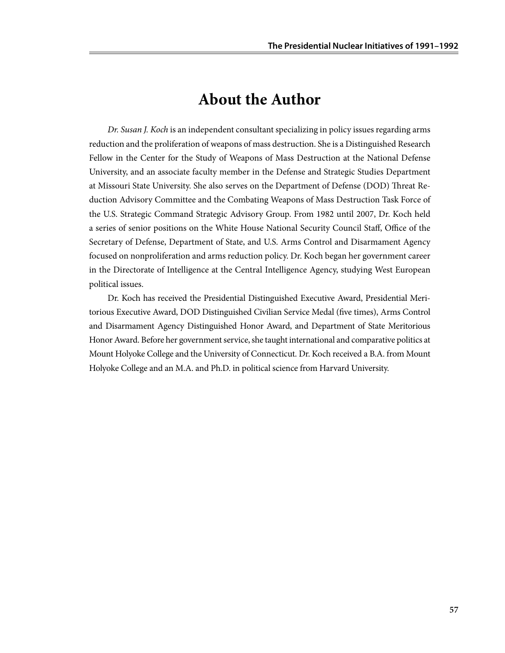## **About the Author**

*Dr. Susan J. Koch* is an independent consultant specializing in policy issues regarding arms reduction and the proliferation of weapons of mass destruction. She is a Distinguished Research Fellow in the Center for the Study of Weapons of Mass Destruction at the National Defense University, and an associate faculty member in the Defense and Strategic Studies Department at Missouri State University. She also serves on the Department of Defense (DOD) Threat Reduction Advisory Committee and the Combating Weapons of Mass Destruction Task Force of the U.S. Strategic Command Strategic Advisory Group. From 1982 until 2007, Dr. Koch held a series of senior positions on the White House National Security Council Staff, Office of the Secretary of Defense, Department of State, and U.S. Arms Control and Disarmament Agency focused on nonproliferation and arms reduction policy. Dr. Koch began her government career in the Directorate of Intelligence at the Central Intelligence Agency, studying West European political issues.

Dr. Koch has received the Presidential Distinguished Executive Award, Presidential Meritorious Executive Award, DOD Distinguished Civilian Service Medal (five times), Arms Control and Disarmament Agency Distinguished Honor Award, and Department of State Meritorious Honor Award. Before her government service, she taught international and comparative politics at Mount Holyoke College and the University of Connecticut. Dr. Koch received a B.A. from Mount Holyoke College and an M.A. and Ph.D. in political science from Harvard University.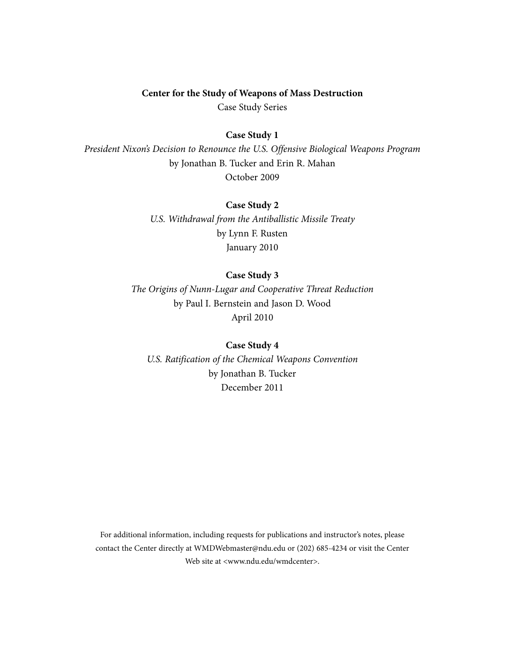#### **Center for the Study of Weapons of Mass Destruction**

Case Study Series

#### **Case Study 1**

*President Nixon's Decision to Renounce the U.S. Offensive Biological Weapons Program*  by Jonathan B. Tucker and Erin R. Mahan October 2009

#### **Case Study 2**

*U.S. Withdrawal from the Antiballistic Missile Treaty*  by Lynn F. Rusten January 2010

#### **Case Study 3**

*The Origins of Nunn-Lugar and Cooperative Threat Reduction* by Paul I. Bernstein and Jason D. Wood April 2010

#### **Case Study 4**

*U.S. Ratification of the Chemical Weapons Convention* by Jonathan B. Tucker December 2011

For additional information, including requests for publications and instructor's notes, please contact the Center directly at WMDWebmaster@ndu.edu or (202) 685-4234 or visit the Center Web site at <www.ndu.edu/wmdcenter>.